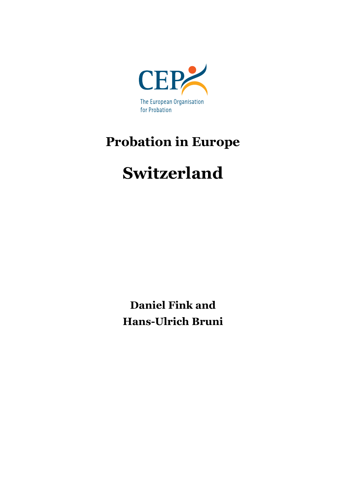

## **Probation in Europe**

# **Switzerland**

**Daniel Fink and Hans-Ulrich Bruni**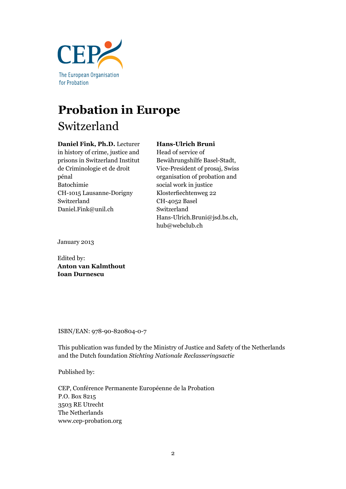

## **Probation in Europe** Switzerland

#### **Daniel Fink, Ph.D.** Lecturer

### in history of crime, justice and prisons in Switzerland Institut de Criminologie et de droit pénal Batochimie CH-1015 Lausanne-Dorigny Switzerland Daniel.Fink@unil.ch

## **Hans-Ulrich Bruni**

Head of service of Bewährungshilfe Basel-Stadt, Vice-President of prosaj, Swiss organisation of probation and social work in justice Klosterfiechtenweg 22 CH-4052 Basel Switzerland Hans-Ulrich.Bruni@jsd.bs.ch, hub@webclub.ch

January 2013

Edited by: **Anton van Kalmthout Ioan Durnescu**

ISBN/EAN: 978-90-820804-0-7

This publication was funded by the Ministry of Justice and Safety of the Netherlands and the Dutch foundation *Stichting Nationale Reclasseringsactie*

Published by:

CEP, Conférence Permanente Européenne de la Probation P.O. Box 8215 3503 RE Utrecht The Netherlands www.cep-probation.org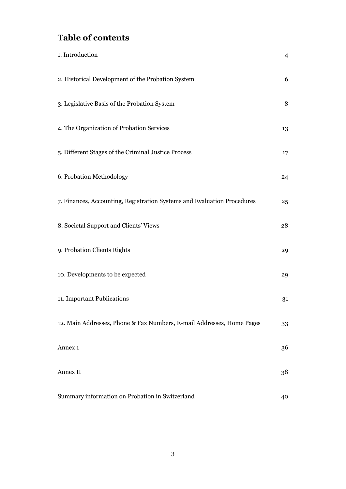## **Table of contents**

| 1. Introduction                                                         | $\overline{4}$ |
|-------------------------------------------------------------------------|----------------|
| 2. Historical Development of the Probation System                       | 6              |
| 3. Legislative Basis of the Probation System                            | 8              |
| 4. The Organization of Probation Services                               | 13             |
| 5. Different Stages of the Criminal Justice Process                     | 17             |
| 6. Probation Methodology                                                | 24             |
| 7. Finances, Accounting, Registration Systems and Evaluation Procedures | 25             |
| 8. Societal Support and Clients' Views                                  | 28             |
| 9. Probation Clients Rights                                             | 29             |
| 10. Developments to be expected                                         | 29             |
| 11. Important Publications                                              | 31             |
| 12. Main Addresses, Phone & Fax Numbers, E-mail Addresses, Home Pages   | 33             |
| Annex 1                                                                 | 36             |
| Annex II                                                                | 38             |
| Summary information on Probation in Switzerland                         | 40             |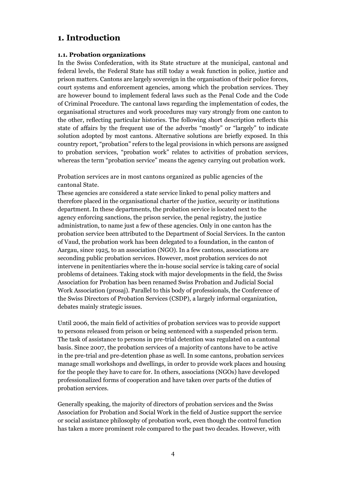## **1. Introduction**

#### **1.1. Probation organizations**

In the Swiss Confederation, with its State structure at the municipal, cantonal and federal levels, the Federal State has still today a weak function in police, justice and prison matters. Cantons are largely sovereign in the organisation of their police forces, court systems and enforcement agencies, among which the probation services. They are however bound to implement federal laws such as the Penal Code and the Code of Criminal Procedure. The cantonal laws regarding the implementation of codes, the organisational structures and work procedures may vary strongly from one canton to the other, reflecting particular histories. The following short description reflects this state of affairs by the frequent use of the adverbs "mostly" or "largely" to indicate solution adopted by most cantons. Alternative solutions are briefly exposed. In this country report, "probation" refers to the legal provisions in which persons are assigned to probation services, "probation work" relates to activities of probation services, whereas the term "probation service" means the agency carrying out probation work.

Probation services are in most cantons organized as public agencies of the cantonal State.

These agencies are considered a state service linked to penal policy matters and therefore placed in the organisational charter of the justice, security or institutions department. In these departments, the probation service is located next to the agency enforcing sanctions, the prison service, the penal registry, the justice administration, to name just a few of these agencies. Only in one canton has the probation service been attributed to the Department of Social Services. In the canton of Vaud, the probation work has been delegated to a foundation, in the canton of Aargau, since 1925, to an association (NGO). In a few cantons, associations are seconding public probation services. However, most probation services do not intervene in penitentiaries where the in-house social service is taking care of social problems of detainees. Taking stock with major developments in the field, the Swiss Association for Probation has been renamed Swiss Probation and Judicial Social Work Association (prosaj). Parallel to this body of professionals, the Conference of the Swiss Directors of Probation Services (CSDP), a largely informal organization, debates mainly strategic issues.

Until 2006, the main field of activities of probation services was to provide support to persons released from prison or being sentenced with a suspended prison term. The task of assistance to persons in pre-trial detention was regulated on a cantonal basis. Since 2007, the probation services of a majority of cantons have to be active in the pre-trial and pre-detention phase as well. In some cantons, probation services manage small workshops and dwellings, in order to provide work places and housing for the people they have to care for. In others, associations (NGOs) have developed professionalized forms of cooperation and have taken over parts of the duties of probation services.

Generally speaking, the majority of directors of probation services and the Swiss Association for Probation and Social Work in the field of Justice support the service or social assistance philosophy of probation work, even though the control function has taken a more prominent role compared to the past two decades. However, with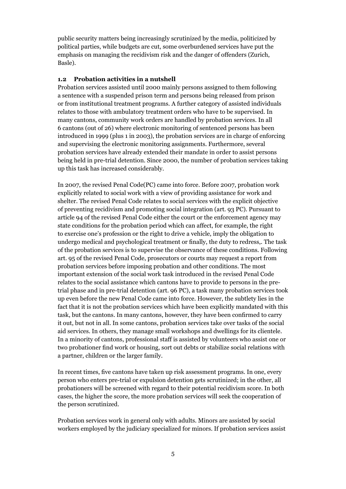public security matters being increasingly scrutinized by the media, politicized by political parties, while budgets are cut, some overburdened services have put the emphasis on managing the recidivism risk and the danger of offenders (Zurich, Basle).

#### **1.2 Probation activities in a nutshell**

Probation services assisted until 2000 mainly persons assigned to them following a sentence with a suspended prison term and persons being released from prison or from institutional treatment programs. A further category of assisted individuals relates to those with ambulatory treatment orders who have to be supervised. In many cantons, community work orders are handled by probation services. In all 6 cantons (out of 26) where electronic monitoring of sentenced persons has been introduced in 1999 (plus 1 in 2003), the probation services are in charge of enforcing and supervising the electronic monitoring assignments. Furthermore, several probation services have already extended their mandate in order to assist persons being held in pre-trial detention. Since 2000, the number of probation services taking up this task has increased considerably.

In 2007, the revised Penal Code(PC) came into force. Before 2007, probation work explicitly related to social work with a view of providing assistance for work and shelter. The revised Penal Code relates to social services with the explicit objective of preventing recidivism and promoting social integration (art. 93 PC). Pursuant to article 94 of the revised Penal Code either the court or the enforcement agency may state conditions for the probation period which can affect, for example, the right to exercise one's profession or the right to drive a vehicle, imply the obligation to undergo medical and psychological treatment or finally, the duty to redress,. The task of the probation services is to supervise the observance of these conditions. Following art. 95 of the revised Penal Code, prosecutors or courts may request a report from probation services before imposing probation and other conditions. The most important extension of the social work task introduced in the revised Penal Code relates to the social assistance which cantons have to provide to persons in the pretrial phase and in pre-trial detention (art. 96 PC), a task many probation services took up even before the new Penal Code came into force. However, the subtlety lies in the fact that it is not the probation services which have been explicitly mandated with this task, but the cantons. In many cantons, however, they have been confirmed to carry it out, but not in all. In some cantons, probation services take over tasks of the social aid services. In others, they manage small workshops and dwellings for its clientele. In a minority of cantons, professional staff is assisted by volunteers who assist one or two probationer find work or housing, sort out debts or stabilize social relations with a partner, children or the larger family.

In recent times, five cantons have taken up risk assessment programs. In one, every person who enters pre-trial or expulsion detention gets scrutinized; in the other, all probationers will be screened with regard to their potential recidivism score. In both cases, the higher the score, the more probation services will seek the cooperation of the person scrutinized.

Probation services work in general only with adults. Minors are assisted by social workers employed by the judiciary specialized for minors. If probation services assist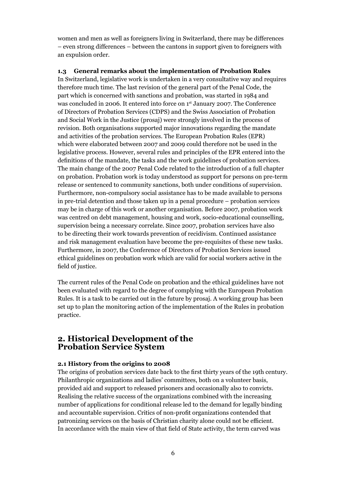women and men as well as foreigners living in Switzerland, there may be differences – even strong differences – between the cantons in support given to foreigners with an expulsion order.

#### **1.3 General remarks about the implementation of Probation Rules**

In Switzerland, legislative work is undertaken in a very consultative way and requires therefore much time. The last revision of the general part of the Penal Code, the part which is concerned with sanctions and probation, was started in 1984 and was concluded in 2006. It entered into force on 1<sup>st</sup> January 2007. The Conference of Directors of Probation Services (CDPS) and the Swiss Association of Probation and Social Work in the Justice (prosaj) were strongly involved in the process of revision. Both organisations supported major innovations regarding the mandate and activities of the probation services. The European Probation Rules (EPR) which were elaborated between 2007 and 2009 could therefore not be used in the legislative process. However, several rules and principles of the EPR entered into the definitions of the mandate, the tasks and the work guidelines of probation services. The main change of the 2007 Penal Code related to the introduction of a full chapter on probation. Probation work is today understood as support for persons on pre-term release or sentenced to community sanctions, both under conditions of supervision. Furthermore, non-compulsory social assistance has to be made available to persons in pre-trial detention and those taken up in a penal procedure – probation services may be in charge of this work or another organisation. Before 2007, probation work was centred on debt management, housing and work, socio-educational counselling, supervision being a necessary correlate. Since 2007, probation services have also to be directing their work towards prevention of recidivism. Continued assistance and risk management evaluation have become the pre-requisites of these new tasks. Furthermore, in 2007, the Conference of Directors of Probation Services issued ethical guidelines on probation work which are valid for social workers active in the field of justice.

The current rules of the Penal Code on probation and the ethical guidelines have not been evaluated with regard to the degree of complying with the European Probation Rules. It is a task to be carried out in the future by prosaj. A working group has been set up to plan the monitoring action of the implementation of the Rules in probation practice.

#### **2. Historical Development of the Probation Service System**

#### **2.1 History from the origins to 2008**

The origins of probation services date back to the first thirty years of the 19th century. Philanthropic organizations and ladies' committees, both on a volunteer basis, provided aid and support to released prisoners and occasionally also to convicts. Realising the relative success of the organizations combined with the increasing number of applications for conditional release led to the demand for legally binding and accountable supervision. Critics of non-profit organizations contended that patronizing services on the basis of Christian charity alone could not be efficient. In accordance with the main view of that field of State activity, the term carved was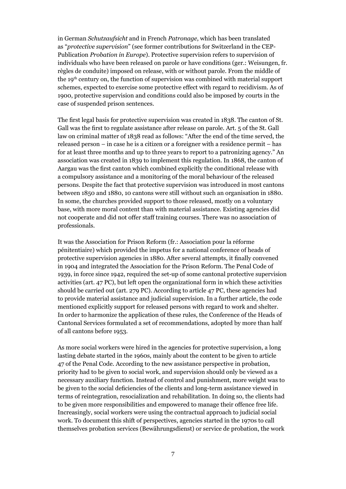in German *Schutzaufsicht* and in French *Patronage*, which has been translated as "*protective supervision*" (see former contributions for Switzerland in the CEP-Publication *Probation in Europe*). Protective supervision refers to supervision of individuals who have been released on parole or have conditions (ger.: Weisungen, fr. règles de conduite) imposed on release, with or without parole. From the middle of the 19th century on, the function of supervision was combined with material support schemes, expected to exercise some protective effect with regard to recidivism. As of 1900, protective supervision and conditions could also be imposed by courts in the case of suspended prison sentences.

The first legal basis for protective supervision was created in 1838. The canton of St. Gall was the first to regulate assistance after release on parole. Art. 5 of the St. Gall law on criminal matter of 1838 read as follows: "After the end of the time served, the released person – in case he is a citizen or a foreigner with a residence permit – has for at least three months and up to three years to report to a patronizing agency." An association was created in 1839 to implement this regulation. In 1868, the canton of Aargau was the first canton which combined explicitly the conditional release with a compulsory assistance and a monitoring of the moral behaviour of the released persons. Despite the fact that protective supervision was introduced in most cantons between 1850 and 1880, 10 cantons were still without such an organisation in 1880. In some, the churches provided support to those released, mostly on a voluntary base, with more moral content than with material assistance. Existing agencies did not cooperate and did not offer staff training courses. There was no association of professionals.

It was the Association for Prison Reform (fr.: Association pour la réforme pénitentiaire) which provided the impetus for a national conference of heads of protective supervision agencies in 1880. After several attempts, it finally convened in 1904 and integrated the Association for the Prison Reform. The Penal Code of 1939, in force since 1942, required the set-up of some cantonal protective supervision activities (art. 47 PC), but left open the organizational form in which these activities should be carried out (art. 279 PC). According to article 47 PC, these agencies had to provide material assistance and judicial supervision. In a further article, the code mentioned explicitly support for released persons with regard to work and shelter. In order to harmonize the application of these rules, the Conference of the Heads of Cantonal Services formulated a set of recommendations, adopted by more than half of all cantons before 1953.

As more social workers were hired in the agencies for protective supervision, a long lasting debate started in the 1960s, mainly about the content to be given to article 47 of the Penal Code. According to the new assistance perspective in probation, priority had to be given to social work, and supervision should only be viewed as a necessary auxiliary function. Instead of control and punishment, more weight was to be given to the social deficiencies of the clients and long-term assistance viewed in terms of reintegration, resocialization and rehabilitation. In doing so, the clients had to be given more responsibilities and empowered to manage their offence free life. Increasingly, social workers were using the contractual approach to judicial social work. To document this shift of perspectives, agencies started in the 1970s to call themselves probation services (Bewährungsdienst) or service de probation, the work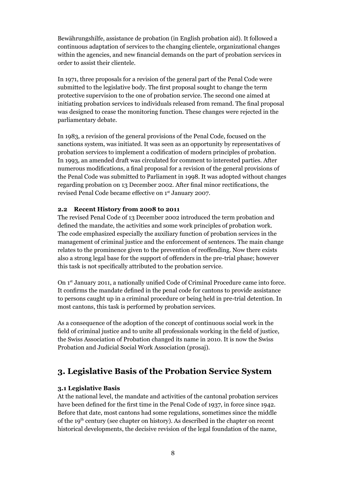Bewährungshilfe, assistance de probation (in English probation aid). It followed a continuous adaptation of services to the changing clientele, organizational changes within the agencies, and new financial demands on the part of probation services in order to assist their clientele.

In 1971, three proposals for a revision of the general part of the Penal Code were submitted to the legislative body. The first proposal sought to change the term protective supervision to the one of probation service. The second one aimed at initiating probation services to individuals released from remand. The final proposal was designed to cease the monitoring function. These changes were rejected in the parliamentary debate.

In 1983, a revision of the general provisions of the Penal Code, focused on the sanctions system, was initiated. It was seen as an opportunity by representatives of probation services to implement a codification of modern principles of probation. In 1993, an amended draft was circulated for comment to interested parties. After numerous modifications, a final proposal for a revision of the general provisions of the Penal Code was submitted to Parliament in 1998. It was adopted without changes regarding probation on 13 December 2002. After final minor rectifications, the revised Penal Code became effective on 1<sup>st</sup> January 2007.

#### **2.2 Recent History from 2008 to 2011**

The revised Penal Code of 13 December 2002 introduced the term probation and defined the mandate, the activities and some work principles of probation work. The code emphasized especially the auxiliary function of probation services in the management of criminal justice and the enforcement of sentences. The main change relates to the prominence given to the prevention of reoffending. Now there exists also a strong legal base for the support of offenders in the pre-trial phase; however this task is not specifically attributed to the probation service.

On 1st January 2011, a nationally unified Code of Criminal Procedure came into force. It confirms the mandate defined in the penal code for cantons to provide assistance to persons caught up in a criminal procedure or being held in pre-trial detention. In most cantons, this task is performed by probation services.

As a consequence of the adoption of the concept of continuous social work in the field of criminal justice and to unite all professionals working in the field of justice, the Swiss Association of Probation changed its name in 2010. It is now the Swiss Probation and Judicial Social Work Association (prosaj).

## **3. Legislative Basis of the Probation Service System**

#### **3.1 Legislative Basis**

At the national level, the mandate and activities of the cantonal probation services have been defined for the first time in the Penal Code of 1937, in force since 1942. Before that date, most cantons had some regulations, sometimes since the middle of the 19th century (see chapter on history). As described in the chapter on recent historical developments, the decisive revision of the legal foundation of the name,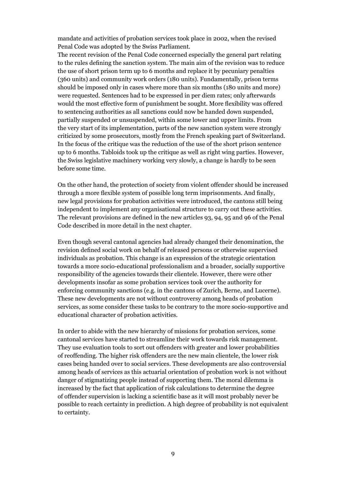mandate and activities of probation services took place in 2002, when the revised Penal Code was adopted by the Swiss Parliament.

The recent revision of the Penal Code concerned especially the general part relating to the rules defining the sanction system. The main aim of the revision was to reduce the use of short prison term up to 6 months and replace it by pecuniary penalties (360 units) and community work orders (180 units). Fundamentally, prison terms should be imposed only in cases where more than six months (180 units and more) were requested. Sentences had to be expressed in per diem rates; only afterwards would the most effective form of punishment be sought. More flexibility was offered to sentencing authorities as all sanctions could now be handed down suspended, partially suspended or unsuspended, within some lower and upper limits. From the very start of its implementation, parts of the new sanction system were strongly criticized by some prosecutors, mostly from the French speaking part of Switzerland. In the focus of the critique was the reduction of the use of the short prison sentence up to 6 months. Tabloids took up the critique as well as right wing parties. However, the Swiss legislative machinery working very slowly, a change is hardly to be seen before some time.

On the other hand, the protection of society from violent offender should be increased through a more flexible system of possible long term imprisonments. And finally, new legal provisions for probation activities were introduced, the cantons still being independent to implement any organisational structure to carry out these activities. The relevant provisions are defined in the new articles 93, 94, 95 and 96 of the Penal Code described in more detail in the next chapter.

Even though several cantonal agencies had already changed their denomination, the revision defined social work on behalf of released persons or otherwise supervised individuals as probation. This change is an expression of the strategic orientation towards a more socio-educational professionalism and a broader, socially supportive responsibility of the agencies towards their clientele. However, there were other developments insofar as some probation services took over the authority for enforcing community sanctions (e.g. in the cantons of Zurich, Berne, and Lucerne). These new developments are not without controversy among heads of probation services, as some consider these tasks to be contrary to the more socio-supportive and educational character of probation activities.

In order to abide with the new hierarchy of missions for probation services, some cantonal services have started to streamline their work towards risk management. They use evaluation tools to sort out offenders with greater and lower probabilities of reoffending. The higher risk offenders are the new main clientele, the lower risk cases being handed over to social services. These developments are also controversial among heads of services as this actuarial orientation of probation work is not without danger of stigmatizing people instead of supporting them. The moral dilemma is increased by the fact that application of risk calculations to determine the degree of offender supervision is lacking a scientific base as it will most probably never be possible to reach certainty in prediction. A high degree of probability is not equivalent to certainty.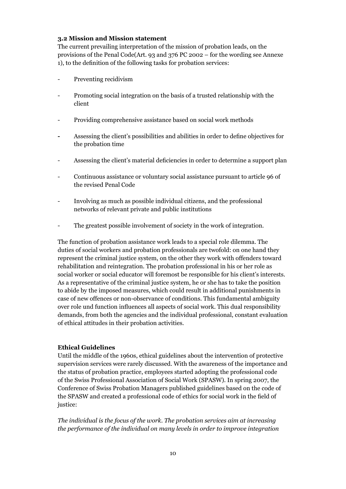#### **3.2 Mission and Mission statement**

The current prevailing interpretation of the mission of probation leads, on the provisions of the Penal Code(Art. 93 and 376 PC 2002 – for the wording see Annexe 1), to the definition of the following tasks for probation services:

- Preventing recidivism
- Promoting social integration on the basis of a trusted relationship with the client
- Providing comprehensive assistance based on social work methods
- Assessing the client's possibilities and abilities in order to define objectives for the probation time
- Assessing the client's material deficiencies in order to determine a support plan
- Continuous assistance or voluntary social assistance pursuant to article 96 of the revised Penal Code
- Involving as much as possible individual citizens, and the professional networks of relevant private and public institutions
- The greatest possible involvement of society in the work of integration.

The function of probation assistance work leads to a special role dilemma. The duties of social workers and probation professionals are twofold: on one hand they represent the criminal justice system, on the other they work with offenders toward rehabilitation and reintegration. The probation professional in his or her role as social worker or social educator will foremost be responsible for his client's interests. As a representative of the criminal justice system, he or she has to take the position to abide by the imposed measures, which could result in additional punishments in case of new offences or non-observance of conditions. This fundamental ambiguity over role und function influences all aspects of social work. This dual responsibility demands, from both the agencies and the individual professional, constant evaluation of ethical attitudes in their probation activities.

#### **Ethical Guidelines**

Until the middle of the 1960s, ethical guidelines about the intervention of protective supervision services were rarely discussed. With the awareness of the importance and the status of probation practice, employees started adopting the professional code of the Swiss Professional Association of Social Work (SPASW). In spring 2007, the Conference of Swiss Probation Managers published guidelines based on the code of the SPASW and created a professional code of ethics for social work in the field of justice:

*The individual is the focus of the work. The probation services aim at increasing the performance of the individual on many levels in order to improve integration*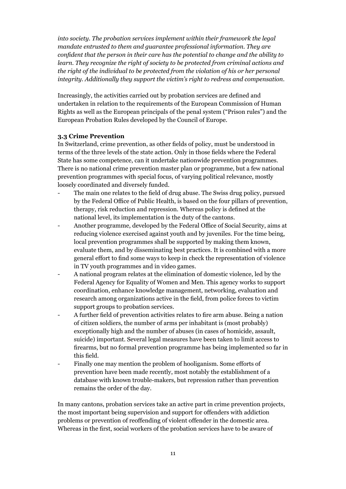*into society. The probation services implement within their framework the legal mandate entrusted to them and guarantee professional information. They are confident that the person in their care has the potential to change and the ability to learn. They recognize the right of society to be protected from criminal actions and the right of the individual to be protected from the violation of his or her personal integrity. Additionally they support the victim's right to redress and compensation.*

Increasingly, the activities carried out by probation services are defined and undertaken in relation to the requirements of the European Commission of Human Rights as well as the European principals of the penal system ("Prison rules") and the European Probation Rules developed by the Council of Europe.

#### **3.3 Crime Prevention**

In Switzerland, crime prevention, as other fields of policy, must be understood in terms of the three levels of the state action. Only in those fields where the Federal State has some competence, can it undertake nationwide prevention programmes. There is no national crime prevention master plan or programme, but a few national prevention programmes with special focus, of varying political relevance, mostly loosely coordinated and diversely funded.

- The main one relates to the field of drug abuse. The Swiss drug policy, pursued by the Federal Office of Public Health, is based on the four pillars of prevention, therapy, risk reduction and repression. Whereas policy is defined at the national level, its implementation is the duty of the cantons.
- Another programme, developed by the Federal Office of Social Security, aims at reducing violence exercised against youth and by juveniles. For the time being, local prevention programmes shall be supported by making them known, evaluate them, and by disseminating best practices. It is combined with a more general effort to find some ways to keep in check the representation of violence in TV youth programmes and in video games.
- A national program relates at the elimination of domestic violence, led by the Federal Agency for Equality of Women and Men. This agency works to support coordination, enhance knowledge management, networking, evaluation and research among organizations active in the field, from police forces to victim support groups to probation services.
- A further field of prevention activities relates to fire arm abuse. Being a nation of citizen soldiers, the number of arms per inhabitant is (most probably) exceptionally high and the number of abuses (in cases of homicide, assault, suicide) important. Several legal measures have been taken to limit access to firearms, but no formal prevention programme has being implemented so far in this field.
- Finally one may mention the problem of hooliganism. Some efforts of prevention have been made recently, most notably the establishment of a database with known trouble-makers, but repression rather than prevention remains the order of the day.

In many cantons, probation services take an active part in crime prevention projects, the most important being supervision and support for offenders with addiction problems or prevention of reoffending of violent offender in the domestic area. Whereas in the first, social workers of the probation services have to be aware of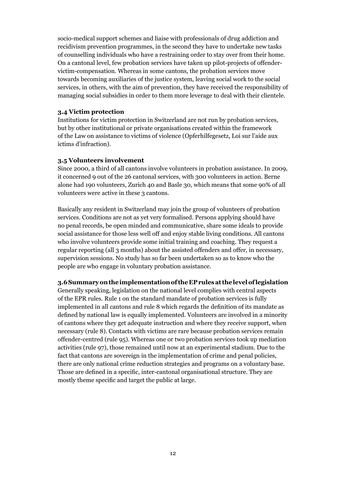socio-medical support schemes and liaise with professionals of drug addiction and recidivism prevention programmes, in the second they have to undertake new tasks of counselling individuals who have a restraining order to stay over from their home. On a cantonal level, few probation services have taken up pilot-projects of offendervictim-compensation. Whereas in some cantons, the probation services move towards becoming auxiliaries of the justice system, leaving social work to the social services, in others, with the aim of prevention, they have received the responsibility of managing social subsidies in order to them more leverage to deal with their clientele.

#### **3.4 Victim protection**

Institutions for victim protection in Switzerland are not run by probation services, but by other institutional or private organisations created within the framework of the Law on assistance to victims of violence (Opferhilfegesetz, Loi sur l'aide aux ictims d'infraction).

#### **3.5 Volunteers involvement**

Since 2000, a third of all cantons involve volunteers in probation assistance. In 2009, it concerned 9 out of the 26 cantonal services, with 300 volunteers in action. Berne alone had 190 volunteers, Zurich 40 and Basle 30, which means that some 90% of all volunteers were active in these 3 cantons.

Basically any resident in Switzerland may join the group of volunteers of probation services. Conditions are not as yet very formalised. Persons applying should have no penal records, be open minded and communicative, share some ideals to provide social assistance for those less well off and enjoy stable living conditions. All cantons who involve volunteers provide some initial training and coaching. They request a regular reporting (all 3 months) about the assisted offenders and offer, in necessary, supervision sessions. No study has so far been undertaken so as to know who the people are who engage in voluntary probation assistance.

#### **3.6 Summary on the implementation of the EP rules at the level of legislation**

Generally speaking, legislation on the national level complies with central aspects of the EPR rules. Rule 1 on the standard mandate of probation services is fully implemented in all cantons and rule 8 which regards the definition of its mandate as defined by national law is equally implemented. Volunteers are involved in a minority of cantons where they get adequate instruction and where they receive support, when necessary (rule 8). Contacts with victims are rare because probation services remain offender-centred (rule 95). Whereas one or two probation services took up mediation activities (rule 97), those remained until now at an experimental stadium. Due to the fact that cantons are sovereign in the implementation of crime and penal policies, there are only national crime reduction strategies and programs on a voluntary base. Those are defined in a specific, inter-cantonal organisational structure. They are mostly theme specific and target the public at large.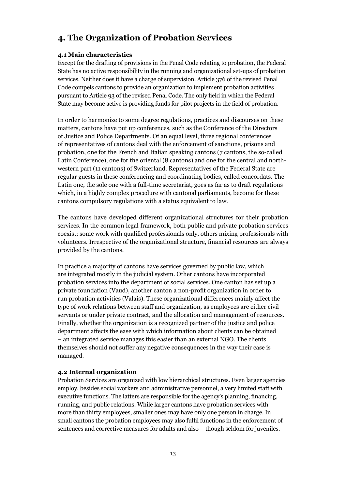## **4. The Organization of Probation Services**

#### **4.1 Main characteristics**

Except for the drafting of provisions in the Penal Code relating to probation, the Federal State has no active responsibility in the running and organizational set-ups of probation services. Neither does it have a charge of supervision. Article 376 of the revised Penal Code compels cantons to provide an organization to implement probation activities pursuant to Article 93 of the revised Penal Code. The only field in which the Federal State may become active is providing funds for pilot projects in the field of probation.

In order to harmonize to some degree regulations, practices and discourses on these matters, cantons have put up conferences, such as the Conference of the Directors of Justice and Police Departments. Of an equal level, three regional conferences of representatives of cantons deal with the enforcement of sanctions, prisons and probation, one for the French and Italian speaking cantons (7 cantons, the so-called Latin Conference), one for the oriental (8 cantons) and one for the central and northwestern part (11 cantons) of Switzerland. Representatives of the Federal State are regular guests in these conferencing and coordinating bodies, called concordats. The Latin one, the sole one with a full-time secretariat, goes as far as to draft regulations which, in a highly complex procedure with cantonal parliaments, become for these cantons compulsory regulations with a status equivalent to law.

The cantons have developed different organizational structures for their probation services. In the common legal framework, both public and private probation services coexist; some work with qualified professionals only, others mixing professionals with volunteers. Irrespective of the organizational structure, financial resources are always provided by the cantons.

In practice a majority of cantons have services governed by public law, which are integrated mostly in the judicial system. Other cantons have incorporated probation services into the department of social services. One canton has set up a private foundation (Vaud), another canton a non-profit organization in order to run probation activities (Valais). These organizational differences mainly affect the type of work relations between staff and organization, as employees are either civil servants or under private contract, and the allocation and management of resources. Finally, whether the organization is a recognized partner of the justice and police department affects the ease with which information about clients can be obtained – an integrated service manages this easier than an external NGO. The clients themselves should not suffer any negative consequences in the way their case is managed.

#### **4.2 Internal organization**

Probation Services are organized with low hierarchical structures. Even larger agencies employ, besides social workers and administrative personnel, a very limited staff with executive functions. The latters are responsible for the agency's planning, financing, running, and public relations. While larger cantons have probation services with more than thirty employees, smaller ones may have only one person in charge. In small cantons the probation employees may also fulfil functions in the enforcement of sentences and corrective measures for adults and also – though seldom for juveniles.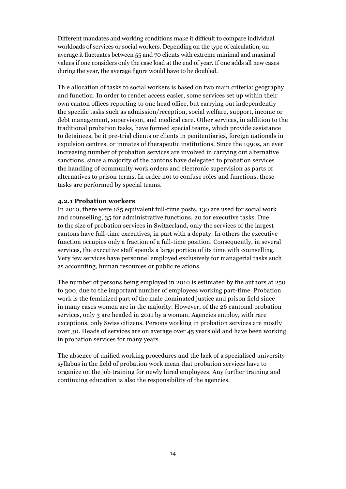Different mandates and working conditions make it difficult to compare individual workloads of services or social workers. Depending on the type of calculation, on average it fluctuates between 55 and 70 clients with extreme minimal and maximal values if one considers only the case load at the end of year. If one adds all new cases during the year, the average figure would have to be doubled.

Th e allocation of tasks to social workers is based on two main criteria: geography and function. In order to render access easier, some services set up within their own canton offices reporting to one head office, but carrying out independently the specific tasks such as admission/reception, social welfare, support, income or debt management, supervision, and medical care. Other services, in addition to the traditional probation tasks, have formed special teams, which provide assistance to detainees, be it pre-trial clients or clients in penitentiaries, foreign nationals in expulsion centres, or inmates of therapeutic institutions. Since the 1990s, an ever increasing number of probation services are involved in carrying out alternative sanctions, since a majority of the cantons have delegated to probation services the handling of community work orders and electronic supervision as parts of alternatives to prison terms. In order not to confuse roles and functions, these tasks are performed by special teams.

#### **4.2.1 Probation workers**

In 2010, there were 185 equivalent full-time posts. 130 are used for social work and counselling, 35 for administrative functions, 20 for executive tasks. Due to the size of probation services in Switzerland, only the services of the largest cantons have full-time executives, in part with a deputy. In others the executive function occupies only a fraction of a full-time position. Consequently, in several services, the executive staff spends a large portion of its time with counselling. Very few services have personnel employed exclusively for managerial tasks such as accounting, human resources or public relations.

The number of persons being employed in 2010 is estimated by the authors at 250 to 300, due to the important number of employees working part-time. Probation work is the feminized part of the male dominated justice and prison field since in many cases women are in the majority. However, of the 26 cantonal probation services, only 3 are headed in 2011 by a woman. Agencies employ, with rare exceptions, only Swiss citizens. Persons working in probation services are mostly over 30. Heads of services are on average over 45 years old and have been working in probation services for many years.

The absence of unified working procedures and the lack of a specialised university syllabus in the field of probation work mean that probation services have to organize on the job training for newly hired employees. Any further training and continuing education is also the responsibility of the agencies.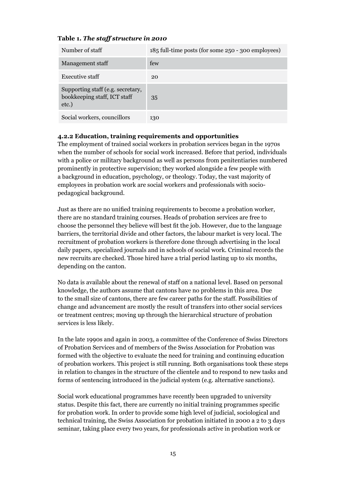#### **Table 1.** *The staff structure in 2010*

| Number of staff                                                            | 185 full-time posts (for some 250 - 300 employees) |
|----------------------------------------------------------------------------|----------------------------------------------------|
| Management staff                                                           | few                                                |
| <b>Executive staff</b>                                                     | 20                                                 |
| Supporting staff (e.g. secretary,<br>bookkeeping staff, ICT staff<br>etc.) | 35                                                 |
| Social workers, councillors                                                | 130                                                |

#### **4.2.2 Education, training requirements and opportunities**

The employment of trained social workers in probation services began in the 1970s when the number of schools for social work increased. Before that period, individuals with a police or military background as well as persons from penitentiaries numbered prominently in protective supervision; they worked alongside a few people with a background in education, psychology, or theology. Today, the vast majority of employees in probation work are social workers and professionals with sociopedagogical background.

Just as there are no unified training requirements to become a probation worker, there are no standard training courses. Heads of probation services are free to choose the personnel they believe will best fit the job. However, due to the language barriers, the territorial divide and other factors, the labour market is very local. The recruitment of probation workers is therefore done through advertising in the local daily papers, specialized journals and in schools of social work. Criminal records the new recruits are checked. Those hired have a trial period lasting up to six months, depending on the canton.

No data is available about the renewal of staff on a national level. Based on personal knowledge, the authors assume that cantons have no problems in this area. Due to the small size of cantons, there are few career paths for the staff. Possibilities of change and advancement are mostly the result of transfers into other social services or treatment centres; moving up through the hierarchical structure of probation services is less likely.

In the late 1990s and again in 2003, a committee of the Conference of Swiss Directors of Probation Services and of members of the Swiss Association for Probation was formed with the objective to evaluate the need for training and continuing education of probation workers. This project is still running. Both organisations took these steps in relation to changes in the structure of the clientele and to respond to new tasks and forms of sentencing introduced in the judicial system (e.g. alternative sanctions).

Social work educational programmes have recently been upgraded to university status. Despite this fact, there are currently no initial training programmes specific for probation work. In order to provide some high level of judicial, sociological and technical training, the Swiss Association for probation initiated in 2000 a 2 to 3 days seminar, taking place every two years, for professionals active in probation work or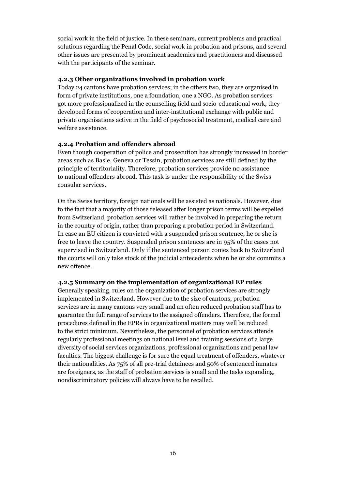social work in the field of justice. In these seminars, current problems and practical solutions regarding the Penal Code, social work in probation and prisons, and several other issues are presented by prominent academics and practitioners and discussed with the participants of the seminar.

#### **4.2.3 Other organizations involved in probation work**

Today 24 cantons have probation services; in the others two, they are organised in form of private institutions, one a foundation, one a NGO. As probation services got more professionalized in the counselling field and socio-educational work, they developed forms of cooperation and inter-institutional exchange with public and private organisations active in the field of psychosocial treatment, medical care and welfare assistance.

#### **4.2.4 Probation and offenders abroad**

Even though cooperation of police and prosecution has strongly increased in border areas such as Basle, Geneva or Tessin, probation services are still defined by the principle of territoriality. Therefore, probation services provide no assistance to national offenders abroad. This task is under the responsibility of the Swiss consular services.

On the Swiss territory, foreign nationals will be assisted as nationals. However, due to the fact that a majority of those released after longer prison terms will be expelled from Switzerland, probation services will rather be involved in preparing the return in the country of origin, rather than preparing a probation period in Switzerland. In case an EU citizen is convicted with a suspended prison sentence, he or she is free to leave the country. Suspended prison sentences are in 95% of the cases not supervised in Switzerland. Only if the sentenced person comes back to Switzerland the courts will only take stock of the judicial antecedents when he or she commits a new offence.

#### **4.2.5 Summary on the implementation of organizational EP rules**

Generally speaking, rules on the organization of probation services are strongly implemented in Switzerland. However due to the size of cantons, probation services are in many cantons very small and an often reduced probation staff has to guarantee the full range of services to the assigned offenders. Therefore, the formal procedures defined in the EPRs in organizational matters may well be reduced to the strict minimum. Nevertheless, the personnel of probation services attends regularly professional meetings on national level and training sessions of a large diversity of social services organizations, professional organizations and penal law faculties. The biggest challenge is for sure the equal treatment of offenders, whatever their nationalities. As 75% of all pre-trial detainees and 50% of sentenced inmates are foreigners, as the staff of probation services is small and the tasks expanding, nondiscriminatory policies will always have to be recalled.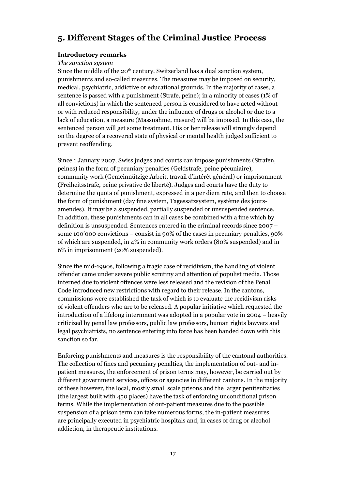## **5. Different Stages of the Criminal Justice Process**

#### **Introductory remarks**

#### *The sanction system*

Since the middle of the 20<sup>th</sup> century, Switzerland has a dual sanction system, punishments and so-called measures. The measures may be imposed on security, medical, psychiatric, addictive or educational grounds. In the majority of cases, a sentence is passed with a punishment (Strafe, peine); in a minority of cases (1% of all convictions) in which the sentenced person is considered to have acted without or with reduced responsibility, under the influence of drugs or alcohol or due to a lack of education, a measure (Massnahme, mesure) will be imposed. In this case, the sentenced person will get some treatment. His or her release will strongly depend on the degree of a recovered state of physical or mental health judged sufficient to prevent reoffending.

Since 1 January 2007, Swiss judges and courts can impose punishments (Strafen, peines) in the form of pecuniary penalties (Geldstrafe, peine pécuniaire), community work (Gemeinnützige Arbeit, travail d'intérêt général) or imprisonment (Freiheitsstrafe, peine privative de liberté). Judges and courts have the duty to determine the quota of punishment, expressed in a per diem rate, and then to choose the form of punishment (day fine system, Tagessatzsystem, système des joursamendes). It may be a suspended, partially suspended or unsuspended sentence. In addition, these punishments can in all cases be combined with a fine which by definition is unsuspended. Sentences entered in the criminal records since 2007 – some 100'000 convictions – consist in 90% of the cases in pecuniary penalties, 90% of which are suspended, in 4% in community work orders (80% suspended) and in 6% in imprisonment (20% suspended).

Since the mid-1990s, following a tragic case of recidivism, the handling of violent offender came under severe public scrutiny and attention of populist media. Those interned due to violent offences were less released and the revision of the Penal Code introduced new restrictions with regard to their release. In the cantons, commissions were established the task of which is to evaluate the recidivism risks of violent offenders who are to be released. A popular initiative which requested the introduction of a lifelong internment was adopted in a popular vote in 2004 – heavily criticized by penal law professors, public law professors, human rights lawyers and legal psychiatrists, no sentence entering into force has been handed down with this sanction so far.

Enforcing punishments and measures is the responsibility of the cantonal authorities. The collection of fines and pecuniary penalties, the implementation of out- and inpatient measures, the enforcement of prison terms may, however, be carried out by different government services, offices or agencies in different cantons. In the majority of these however, the local, mostly small scale prisons and the larger penitentiaries (the largest built with 450 places) have the task of enforcing unconditional prison terms. While the implementation of out-patient measures due to the possible suspension of a prison term can take numerous forms, the in-patient measures are principally executed in psychiatric hospitals and, in cases of drug or alcohol addiction, in therapeutic institutions.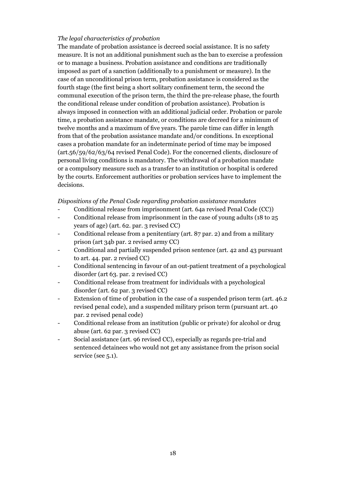#### *The legal characteristics of probation*

The mandate of probation assistance is decreed social assistance. It is no safety measure. It is not an additional punishment such as the ban to exercise a profession or to manage a business. Probation assistance and conditions are traditionally imposed as part of a sanction (additionally to a punishment or measure). In the case of an unconditional prison term, probation assistance is considered as the fourth stage (the first being a short solitary confinement term, the second the communal execution of the prison term, the third the pre-release phase, the fourth the conditional release under condition of probation assistance). Probation is always imposed in connection with an additional judicial order. Probation or parole time, a probation assistance mandate, or conditions are decreed for a minimum of twelve months and a maximum of five years. The parole time can differ in length from that of the probation assistance mandate and/or conditions. In exceptional cases a probation mandate for an indeterminate period of time may be imposed (art.56/59/62/63/64 revised Penal Code). For the concerned clients, disclosure of personal living conditions is mandatory. The withdrawal of a probation mandate or a compulsory measure such as a transfer to an institution or hospital is ordered by the courts. Enforcement authorities or probation services have to implement the decisions.

*Dispositions of the Penal Code regarding probation assistance mandates*

- Conditional release from imprisonment (art. 64a revised Penal Code (CC))
- Conditional release from imprisonment in the case of young adults (18 to 25 years of age) (art. 62. par. 3 revised CC)
- Conditional release from a penitentiary (art. 87 par. 2) and from a military prison (art 34b par. 2 revised army CC)
- Conditional and partially suspended prison sentence (art. 42 and 43 pursuant to art. 44. par. 2 revised CC)
- Conditional sentencing in favour of an out-patient treatment of a psychological disorder (art 63. par. 2 revised CC)
- Conditional release from treatment for individuals with a psychological disorder (art. 62 par. 3 revised CC)
- Extension of time of probation in the case of a suspended prison term (art. 46.2) revised penal code), and a suspended military prison term (pursuant art. 40 par. 2 revised penal code)
- Conditional release from an institution (public or private) for alcohol or drug abuse (art. 62 par. 3 revised CC)
- Social assistance (art. 96 revised CC), especially as regards pre-trial and sentenced detainees who would not get any assistance from the prison social service (see 5.1).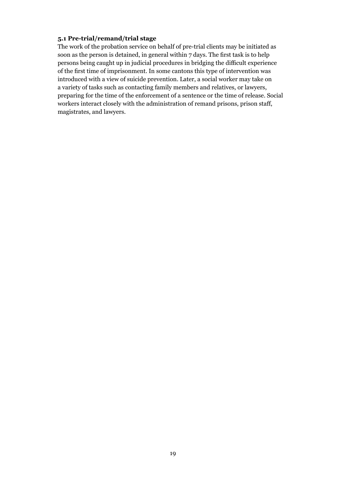#### **5.1 Pre-trial/remand/trial stage**

The work of the probation service on behalf of pre-trial clients may be initiated as soon as the person is detained, in general within 7 days. The first task is to help persons being caught up in judicial procedures in bridging the difficult experience of the first time of imprisonment. In some cantons this type of intervention was introduced with a view of suicide prevention. Later, a social worker may take on a variety of tasks such as contacting family members and relatives, or lawyers, preparing for the time of the enforcement of a sentence or the time of release. Social workers interact closely with the administration of remand prisons, prison staff, magistrates, and lawyers.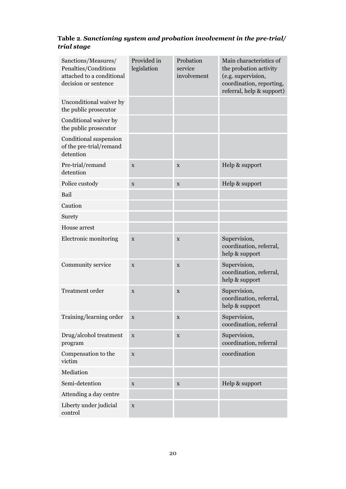## **Table 2***. Sanctioning system and probation involvement in the pre-trial/ trial stage*

| Sanctions/Measures/<br>Penalties/Conditions<br>attached to a conditional<br>decision or sentence | Provided in<br>legislation | Probation<br>service<br>involvement | Main characteristics of<br>the probation activity<br>(e.g. supervision,<br>coordination, reporting,<br>referral, help & support) |
|--------------------------------------------------------------------------------------------------|----------------------------|-------------------------------------|----------------------------------------------------------------------------------------------------------------------------------|
| Unconditional waiver by<br>the public prosecutor                                                 |                            |                                     |                                                                                                                                  |
| Conditional waiver by<br>the public prosecutor                                                   |                            |                                     |                                                                                                                                  |
| Conditional suspension<br>of the pre-trial/remand<br>detention                                   |                            |                                     |                                                                                                                                  |
| Pre-trial/remand<br>detention                                                                    | $\mathbf X$                | $\mathbf X$                         | Help & support                                                                                                                   |
| Police custody                                                                                   | $\mathbf X$                | $\mathbf X$                         | Help & support                                                                                                                   |
| Bail                                                                                             |                            |                                     |                                                                                                                                  |
| Caution                                                                                          |                            |                                     |                                                                                                                                  |
| Surety                                                                                           |                            |                                     |                                                                                                                                  |
| House arrest                                                                                     |                            |                                     |                                                                                                                                  |
| Electronic monitoring                                                                            | $\mathbf X$                | $\mathbf X$                         | Supervision,<br>coordination, referral,<br>help & support                                                                        |
| Community service                                                                                | $\mathbf X$                | $\mathbf X$                         | Supervision,<br>coordination, referral,<br>help & support                                                                        |
| <b>Treatment</b> order                                                                           | $\mathbf X$                | $\mathbf X$                         | Supervision,<br>coordination, referral,<br>help & support                                                                        |
| Training/learning order                                                                          | X                          | X                                   | Supervision,<br>coordination, referral                                                                                           |
| Drug/alcohol treatment<br>program                                                                | $\mathbf X$                | $\mathbf X$                         | Supervision,<br>coordination, referral                                                                                           |
| Compensation to the<br>victim                                                                    | $\mathbf X$                |                                     | coordination                                                                                                                     |
| Mediation                                                                                        |                            |                                     |                                                                                                                                  |
| Semi-detention                                                                                   | $\mathbf X$                | X                                   | Help & support                                                                                                                   |
| Attending a day centre                                                                           |                            |                                     |                                                                                                                                  |
| Liberty under judicial<br>control                                                                | $\mathbf X$                |                                     |                                                                                                                                  |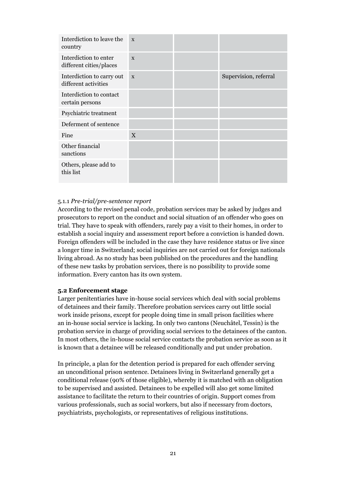| Interdiction to leave the<br>country              | $\mathbf{x}$ |                       |
|---------------------------------------------------|--------------|-----------------------|
| Interdiction to enter<br>different cities/places  | $\mathbf{x}$ |                       |
| Interdiction to carry out<br>different activities | $\mathbf{x}$ | Supervision, referral |
| Interdiction to contact<br>certain persons        |              |                       |
| Psychiatric treatment                             |              |                       |
| Deferment of sentence                             |              |                       |
| Fine                                              | $\mathbf{X}$ |                       |
| Other financial<br>sanctions                      |              |                       |
| Others, please add to<br>this list                |              |                       |

#### 5.1.1 *Pre-trial/pre-sentence report*

According to the revised penal code, probation services may be asked by judges and prosecutors to report on the conduct and social situation of an offender who goes on trial. They have to speak with offenders, rarely pay a visit to their homes, in order to establish a social inquiry and assessment report before a conviction is handed down. Foreign offenders will be included in the case they have residence status or live since a longer time in Switzerland; social inquiries are not carried out for foreign nationals living abroad. As no study has been published on the procedures and the handling of these new tasks by probation services, there is no possibility to provide some information. Every canton has its own system.

#### **5.2 Enforcement stage**

Larger penitentiaries have in-house social services which deal with social problems of detainees and their family. Therefore probation services carry out little social work inside prisons, except for people doing time in small prison facilities where an in-house social service is lacking. In only two cantons (Neuchâtel, Tessin) is the probation service in charge of providing social services to the detainees of the canton. In most others, the in-house social service contacts the probation service as soon as it is known that a detainee will be released conditionally and put under probation.

In principle, a plan for the detention period is prepared for each offender serving an unconditional prison sentence. Detainees living in Switzerland generally get a conditional release (90% of those eligible), whereby it is matched with an obligation to be supervised and assisted. Detainees to be expelled will also get some limited assistance to facilitate the return to their countries of origin. Support comes from various professionals, such as social workers, but also if necessary from doctors, psychiatrists, psychologists, or representatives of religious institutions.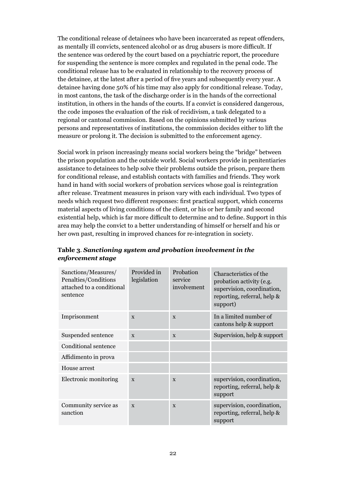The conditional release of detainees who have been incarcerated as repeat offenders, as mentally ill convicts, sentenced alcohol or as drug abusers is more difficult. If the sentence was ordered by the court based on a psychiatric report, the procedure for suspending the sentence is more complex and regulated in the penal code. The conditional release has to be evaluated in relationship to the recovery process of the detainee, at the latest after a period of five years and subsequently every year. A detainee having done 50% of his time may also apply for conditional release. Today, in most cantons, the task of the discharge order is in the hands of the correctional institution, in others in the hands of the courts. If a convict is considered dangerous, the code imposes the evaluation of the risk of recidivism, a task delegated to a regional or cantonal commission. Based on the opinions submitted by various persons and representatives of institutions, the commission decides either to lift the measure or prolong it. The decision is submitted to the enforcement agency.

Social work in prison increasingly means social workers being the "bridge" between the prison population and the outside world. Social workers provide in penitentiaries assistance to detainees to help solve their problems outside the prison, prepare them for conditional release, and establish contacts with families and friends. They work hand in hand with social workers of probation services whose goal is reintegration after release. Treatment measures in prison vary with each individual. Two types of needs which request two different responses: first practical support, which concerns material aspects of living conditions of the client, or his or her family and second existential help, which is far more difficult to determine and to define. Support in this area may help the convict to a better understanding of himself or herself and his or her own past, resulting in improved chances for re-integration in society.

| Sanctions/Measures/<br>Penalties/Conditions<br>attached to a conditional<br>sentence | Provided in<br>legislation | Probation<br>service<br>involvement | Characteristics of the<br>probation activity (e.g.<br>supervision, coordination,<br>reporting, referral, help &<br>support) |
|--------------------------------------------------------------------------------------|----------------------------|-------------------------------------|-----------------------------------------------------------------------------------------------------------------------------|
| Imprisonment                                                                         | X                          | $\mathbf{x}$                        | In a limited number of<br>cantons help & support                                                                            |
| Suspended sentence                                                                   | $\mathbf{x}$               | $\mathbf{x}$                        | Supervision, help & support                                                                                                 |
| Conditional sentence                                                                 |                            |                                     |                                                                                                                             |
| Affidimento in prova                                                                 |                            |                                     |                                                                                                                             |
| House arrest                                                                         |                            |                                     |                                                                                                                             |
| Electronic monitoring                                                                | $\mathbf{x}$               | $\mathbf{x}$                        | supervision, coordination,<br>reporting, referral, help &<br>support                                                        |
| Community service as<br>sanction                                                     | $\mathbf{x}$               | $\mathbf{x}$                        | supervision, coordination,<br>reporting, referral, help &<br>support                                                        |

#### **Table 3***. Sanctioning system and probation involvement in the enforcement stage*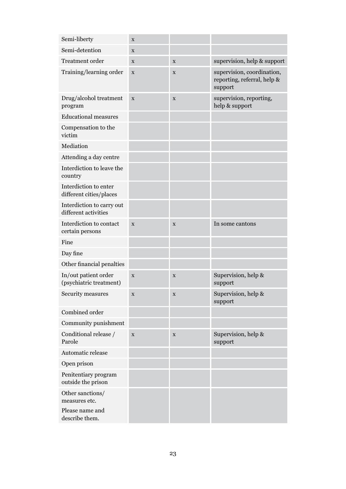| Semi-liberty                                         | X           |                   |                                                                      |
|------------------------------------------------------|-------------|-------------------|----------------------------------------------------------------------|
| Semi-detention                                       | X           |                   |                                                                      |
| Treatment order                                      | $\mathbf X$ | X                 | supervision, help & support                                          |
| Training/learning order                              | $\mathbf X$ | X                 | supervision, coordination,<br>reporting, referral, help &<br>support |
| Drug/alcohol treatment<br>program                    | $\mathbf X$ | $\mathbf X$       | supervision, reporting,<br>help & support                            |
| <b>Educational measures</b>                          |             |                   |                                                                      |
| Compensation to the<br>victim                        |             |                   |                                                                      |
| Mediation                                            |             |                   |                                                                      |
| Attending a day centre                               |             |                   |                                                                      |
| Interdiction to leave the<br>country                 |             |                   |                                                                      |
| Interdiction to enter<br>different cities/places     |             |                   |                                                                      |
| Interdiction to carry out<br>different activities    |             |                   |                                                                      |
| Interdiction to contact<br>certain persons           | X           | $\mathbf X$       | In some cantons                                                      |
| Fine                                                 |             |                   |                                                                      |
| Day fine                                             |             |                   |                                                                      |
| Other financial penalties                            |             |                   |                                                                      |
| In/out patient order<br>(psychiatric treatment)      | X           | $\mathbf X$       | Supervision, help &<br>support                                       |
| Security measures                                    | X           | $\rm\overline{X}$ | Supervision, help &<br>support                                       |
| Combined order                                       |             |                   |                                                                      |
| Community punishment                                 |             |                   |                                                                      |
| Conditional release /<br>Parole                      | $\mathbf X$ | $\mathbf X$       | Supervision, help &<br>support                                       |
| Automatic release                                    |             |                   |                                                                      |
| Open prison                                          |             |                   |                                                                      |
| Penitentiary program<br>outside the prison           |             |                   |                                                                      |
| Other sanctions/<br>measures etc.<br>Please name and |             |                   |                                                                      |
| describe them.                                       |             |                   |                                                                      |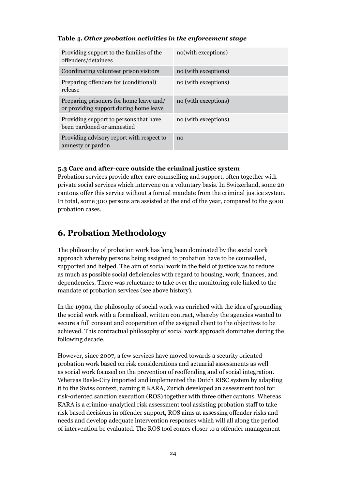#### **Table 4.** *Other probation activities in the enforcement stage*

| Providing support to the families of the<br>offenders/detainees                   | no(with exceptions)  |
|-----------------------------------------------------------------------------------|----------------------|
| Coordinating volunteer prison visitors                                            | no (with exceptions) |
| Preparing offenders for (conditional)<br>release                                  | no (with exceptions) |
| Preparing prisoners for home leave and/<br>or providing support during home leave | no (with exceptions) |
| Providing support to persons that have<br>been pardoned or amnestied              | no (with exceptions) |
| Providing advisory report with respect to<br>amnesty or pardon                    | no                   |

#### **5.3 Care and after-care outside the criminal justice system**

Probation services provide after care counselling and support, often together with private social services which intervene on a voluntary basis. In Switzerland, some 20 cantons offer this service without a formal mandate from the criminal justice system. In total, some 300 persons are assisted at the end of the year, compared to the 5000 probation cases.

## **6. Probation Methodology**

The philosophy of probation work has long been dominated by the social work approach whereby persons being assigned to probation have to be counselled, supported and helped. The aim of social work in the field of justice was to reduce as much as possible social deficiencies with regard to housing, work, finances, and dependencies. There was reluctance to take over the monitoring role linked to the mandate of probation services (see above history).

In the 1990s, the philosophy of social work was enriched with the idea of grounding the social work with a formalized, written contract, whereby the agencies wanted to secure a full consent and cooperation of the assigned client to the objectives to be achieved. This contractual philosophy of social work approach dominates during the following decade.

However, since 2007, a few services have moved towards a security oriented probation work based on risk considerations and actuarial assessments as well as social work focused on the prevention of reoffending and of social integration. Whereas Basle-City imported and implemented the Dutch RISC system by adapting it to the Swiss context, naming it KARA, Zurich developed an assessment tool for risk-oriented sanction execution (ROS) together with three other cantons. Whereas KARA is a crimino-analytical risk assessment tool assisting probation staff to take risk based decisions in offender support, ROS aims at assessing offender risks and needs and develop adequate intervention responses which will all along the period of intervention be evaluated. The ROS tool comes closer to a offender management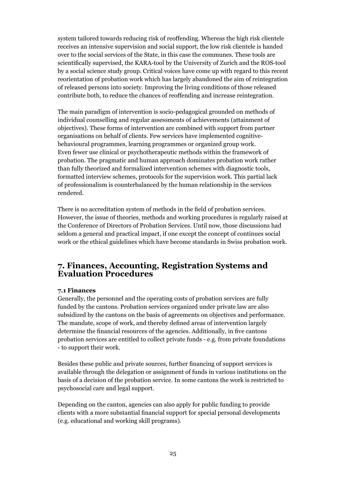system tailored towards reducing risk of reoffending. Whereas the high risk clientele receives an intensive supervision and social support, the low risk clientele is handed over to the social services of the State, in this case the communes. These tools are scientifically supervised, the KARA-tool by the University of Zurich and the ROS-tool by a social science study group. Critical voices have come up with regard to this recent reorientation of probation work which has largely abandoned the aim of reintegration of released persons into society. Improving the living conditions of those released contribute both, to reduce the chances of reoffending and increase reintegration.

The main paradigm of intervention is socio-pedagogical grounded on methods of individual counselling and regular assessments of achievements (attainment of objectives). These forms of intervention are combined with support from partner organisations on behalf of clients. Few services have implemented cognitivebehavioural programmes, learning programmes or organized group work. Even fewer use clinical or psychotherapeutic methods within the framework of probation. The pragmatic and human approach dominates probation work rather than fully theorized and formalized intervention schemes with diagnostic tools, formatted interview schemes, protocols for the supervision work. This partial lack of professionalism is counterbalanced by the human relationship in the services rendered.

There is no accreditation system of methods in the field of probation services. However, the issue of theories, methods and working procedures is regularly raised at the Conference of Directors of Probation Services. Until now, those discussions had seldom a general and practical impact, if one except the concept of continues social work or the ethical guidelines which have become standards in Swiss probation work.

## **7. Finances, Accounting, Registration Systems and Evaluation Procedures**

#### **7.1 Finances**

Generally, the personnel and the operating costs of probation services are fully funded by the cantons. Probation services organized under private law are also subsidized by the cantons on the basis of agreements on objectives and performance. The mandate, scope of work, and thereby defined areas of intervention largely determine the financial resources of the agencies. Additionally, in five cantons probation services are entitled to collect private funds - e.g. from private foundations - to support their work.

Besides these public and private sources, further financing of support services is available through the delegation or assignment of funds in various institutions on the basis of a decision of the probation service. In some cantons the work is restricted to psychosocial care and legal support.

Depending on the canton, agencies can also apply for public funding to provide clients with a more substantial financial support for special personal developments (e.g. educational and working skill programs).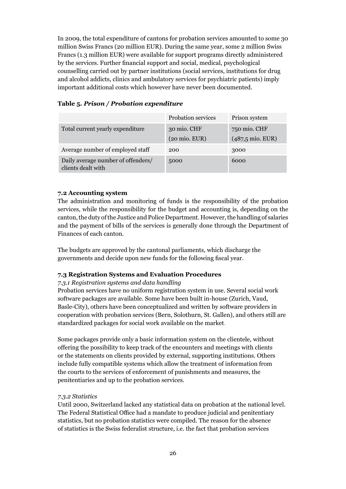In 2009, the total expenditure of cantons for probation services amounted to some 30 million Swiss Francs (20 million EUR). During the same year, some 2 million Swiss Francs (1.3 million EUR) were available for support programs directly administered by the services. Further financial support and social, medical, psychological counselling carried out by partner institutions (social services, institutions for drug and alcohol addicts, clinics and ambulatory services for psychiatric patients) imply important additional costs which however have never been documented.

(20 mio. EUR)

5000 6000

(487,5 mio. EUR)

|  |                                  | <b>Probation services</b> | Prison system |  |
|--|----------------------------------|---------------------------|---------------|--|
|  | Total current yearly expenditure | 30 mio. CHF               | 750 mio. CHF  |  |

Average number of employed staff 200 3000

#### **Table 5***. Prison / Probation expenditure*

#### **7.2 Accounting system**

clients dealt with

Daily average number of offenders/

The administration and monitoring of funds is the responsibility of the probation services, while the responsibility for the budget and accounting is, depending on the canton, the duty of the Justice and Police Department. However, the handling of salaries and the payment of bills of the services is generally done through the Department of Finances of each canton.

The budgets are approved by the cantonal parliaments, which discharge the governments and decide upon new funds for the following fiscal year.

#### **7.3 Registration Systems and Evaluation Procedures**

#### *7.3.1 Registration systems and data handling*

Probation services have no uniform registration system in use. Several social work software packages are available. Some have been built in-house (Zurich, Vaud, Basle-City), others have been conceptualized and written by software providers in cooperation with probation services (Bern, Solothurn, St. Gallen), and others still are standardized packages for social work available on the market.

Some packages provide only a basic information system on the clientele, without offering the possibility to keep track of the encounters and meetings with clients or the statements on clients provided by external, supporting institutions. Others include fully compatible systems which allow the treatment of information from the courts to the services of enforcement of punishments and measures, the penitentiaries and up to the probation services.

#### *7.3.2 Statistics*

Until 2000, Switzerland lacked any statistical data on probation at the national level. The Federal Statistical Office had a mandate to produce judicial and penitentiary statistics, but no probation statistics were compiled. The reason for the absence of statistics is the Swiss federalist structure, i.e. the fact that probation services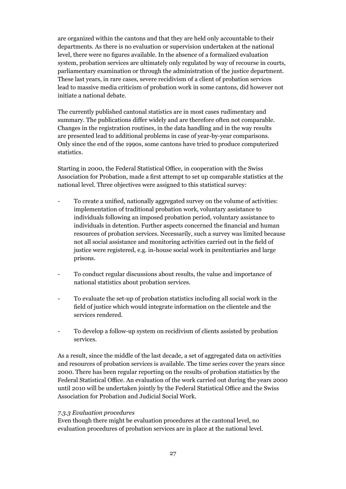are organized within the cantons and that they are held only accountable to their departments. As there is no evaluation or supervision undertaken at the national level, there were no figures available. In the absence of a formalized evaluation system, probation services are ultimately only regulated by way of recourse in courts, parliamentary examination or through the administration of the justice department. These last years, in rare cases, severe recidivism of a client of probation services lead to massive media criticism of probation work in some cantons, did however not initiate a national debate.

The currently published cantonal statistics are in most cases rudimentary and summary. The publications differ widely and are therefore often not comparable. Changes in the registration routines, in the data handling and in the way results are presented lead to additional problems in case of year-by-year comparisons. Only since the end of the 1990s, some cantons have tried to produce computerized statistics.

Starting in 2000, the Federal Statistical Office, in cooperation with the Swiss Association for Probation, made a first attempt to set up comparable statistics at the national level. Three objectives were assigned to this statistical survey:

- To create a unified, nationally aggregated survey on the volume of activities: implementation of traditional probation work, voluntary assistance to individuals following an imposed probation period, voluntary assistance to individuals in detention. Further aspects concerned the financial and human resources of probation services. Necessarily, such a survey was limited because not all social assistance and monitoring activities carried out in the field of justice were registered, e.g. in-house social work in penitentiaries and large prisons.
- To conduct regular discussions about results, the value and importance of national statistics about probation services.
- To evaluate the set-up of probation statistics including all social work in the field of justice which would integrate information on the clientele and the services rendered.
- To develop a follow-up system on recidivism of clients assisted by probation services.

As a result, since the middle of the last decade, a set of aggregated data on activities and resources of probation services is available. The time series cover the years since 2000. There has been regular reporting on the results of probation statistics by the Federal Statistical Office. An evaluation of the work carried out during the years 2000 until 2010 will be undertaken jointly by the Federal Statistical Office and the Swiss Association for Probation and Judicial Social Work.

#### *7.3.3 Evaluation procedures*

Even though there might be evaluation procedures at the cantonal level, no evaluation procedures of probation services are in place at the national level.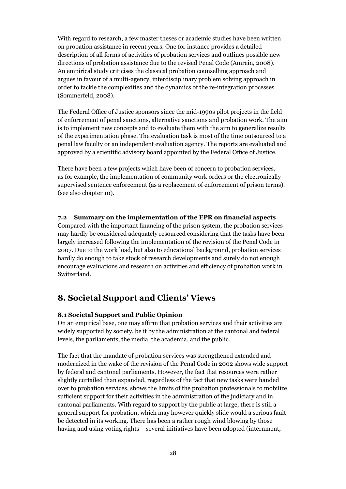With regard to research, a few master theses or academic studies have been written on probation assistance in recent years. One for instance provides a detailed description of all forms of activities of probation services and outlines possible new directions of probation assistance due to the revised Penal Code (Amrein, 2008). An empirical study criticises the classical probation counselling approach and argues in favour of a multi-agency, interdisciplinary problem solving approach in order to tackle the complexities and the dynamics of the re-integration processes (Sommerfeld, 2008).

The Federal Office of Justice sponsors since the mid-1990s pilot projects in the field of enforcement of penal sanctions, alternative sanctions and probation work. The aim is to implement new concepts and to evaluate them with the aim to generalize results of the experimentation phase. The evaluation task is most of the time outsourced to a penal law faculty or an independent evaluation agency. The reports are evaluated and approved by a scientific advisory board appointed by the Federal Office of Justice.

There have been a few projects which have been of concern to probation services, as for example, the implementation of community work orders or the electronically supervised sentence enforcement (as a replacement of enforcement of prison terms). (see also chapter 10).

#### **7.2 Summary on the implementation of the EPR on financial aspects**

Compared with the important financing of the prison system, the probation services may hardly be considered adequately resourced considering that the tasks have been largely increased following the implementation of the revision of the Penal Code in 2007. Due to the work load, but also to educational background, probation services hardly do enough to take stock of research developments and surely do not enough encourage evaluations and research on activities and efficiency of probation work in Switzerland.

## **8. Societal Support and Clients' Views**

#### **8.1 Societal Support and Public Opinion**

On an empirical base, one may affirm that probation services and their activities are widely supported by society, be it by the administration at the cantonal and federal levels, the parliaments, the media, the academia, and the public.

The fact that the mandate of probation services was strengthened extended and modernized in the wake of the revision of the Penal Code in 2002 shows wide support by federal and cantonal parliaments. However, the fact that resources were rather slightly curtailed than expanded, regardless of the fact that new tasks were handed over to probation services, shows the limits of the probation professionals to mobilize sufficient support for their activities in the administration of the judiciary and in cantonal parliaments. With regard to support by the public at large, there is still a general support for probation, which may however quickly slide would a serious fault be detected in its working. There has been a rather rough wind blowing by those having and using voting rights – several initiatives have been adopted (internment,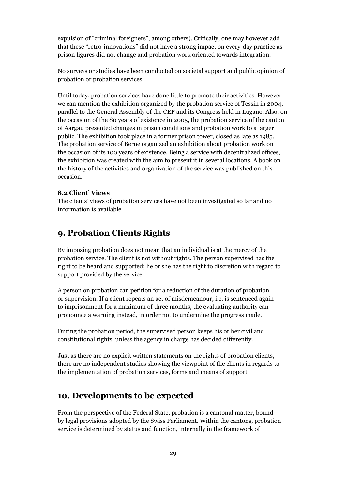expulsion of "criminal foreigners", among others). Critically, one may however add that these "retro-innovations" did not have a strong impact on every-day practice as prison figures did not change and probation work oriented towards integration.

No surveys or studies have been conducted on societal support and public opinion of probation or probation services.

Until today, probation services have done little to promote their activities. However we can mention the exhibition organized by the probation service of Tessin in 2004, parallel to the General Assembly of the CEP and its Congress held in Lugano. Also, on the occasion of the 80 years of existence in 2005, the probation service of the canton of Aargau presented changes in prison conditions and probation work to a larger public. The exhibition took place in a former prison tower, closed as late as 1985. The probation service of Berne organized an exhibition about probation work on the occasion of its 100 years of existence. Being a service with decentralized offices, the exhibition was created with the aim to present it in several locations. A book on the history of the activities and organization of the service was published on this occasion.

#### **8.2 Client' Views**

The clients' views of probation services have not been investigated so far and no information is available.

## **9. Probation Clients Rights**

By imposing probation does not mean that an individual is at the mercy of the probation service. The client is not without rights. The person supervised has the right to be heard and supported; he or she has the right to discretion with regard to support provided by the service.

A person on probation can petition for a reduction of the duration of probation or supervision. If a client repeats an act of misdemeanour, i.e. is sentenced again to imprisonment for a maximum of three months, the evaluating authority can pronounce a warning instead, in order not to undermine the progress made.

During the probation period, the supervised person keeps his or her civil and constitutional rights, unless the agency in charge has decided differently.

Just as there are no explicit written statements on the rights of probation clients, there are no independent studies showing the viewpoint of the clients in regards to the implementation of probation services, forms and means of support.

#### **10. Developments to be expected**

From the perspective of the Federal State, probation is a cantonal matter, bound by legal provisions adopted by the Swiss Parliament. Within the cantons, probation service is determined by status and function, internally in the framework of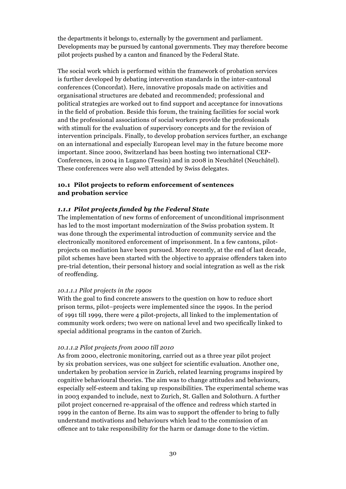the departments it belongs to, externally by the government and parliament. Developments may be pursued by cantonal governments. They may therefore become pilot projects pushed by a canton and financed by the Federal State.

The social work which is performed within the framework of probation services is further developed by debating intervention standards in the inter-cantonal conferences (Concordat). Here, innovative proposals made on activities and organisational structures are debated and recommended; professional and political strategies are worked out to find support and acceptance for innovations in the field of probation. Beside this forum, the training facilities for social work and the professional associations of social workers provide the professionals with stimuli for the evaluation of supervisory concepts and for the revision of intervention principals. Finally, to develop probation services further, an exchange on an international and especially European level may in the future become more important. Since 2000, Switzerland has been hosting two international CEP-Conferences, in 2004 in Lugano (Tessin) and in 2008 in Neuchâtel (Neuchâtel). These conferences were also well attended by Swiss delegates.

#### **10.1 Pilot projects to reform enforcement of sentences and probation service**

#### *1.1.1 Pilot projects funded by the Federal State*

The implementation of new forms of enforcement of unconditional imprisonment has led to the most important modernization of the Swiss probation system. It was done through the experimental introduction of community service and the electronically monitored enforcement of imprisonment. In a few cantons, pilotprojects on mediation have been pursued. More recently, at the end of last decade, pilot schemes have been started with the objective to appraise offenders taken into pre-trial detention, their personal history and social integration as well as the risk of reoffending.

#### *10.1.1.1 Pilot projects in the 1990s*

With the goal to find concrete answers to the question on how to reduce short prison terms, pilot–projects were implemented since the 1990s. In the period of 1991 till 1999, there were 4 pilot-projects, all linked to the implementation of community work orders; two were on national level and two specifically linked to special additional programs in the canton of Zurich.

#### *10.1.1.2 Pilot projects from 2000 till 2010*

As from 2000, electronic monitoring, carried out as a three year pilot project by six probation services, was one subject for scientific evaluation. Another one, undertaken by probation service in Zurich, related learning programs inspired by cognitive behavioural theories. The aim was to change attitudes and behaviours, especially self-esteem and taking up responsibilities. The experimental scheme was in 2003 expanded to include, next to Zurich, St. Gallen and Solothurn. A further pilot project concerned re-appraisal of the offence and redress which started in 1999 in the canton of Berne. Its aim was to support the offender to bring to fully understand motivations and behaviours which lead to the commission of an offence ant to take responsibility for the harm or damage done to the victim.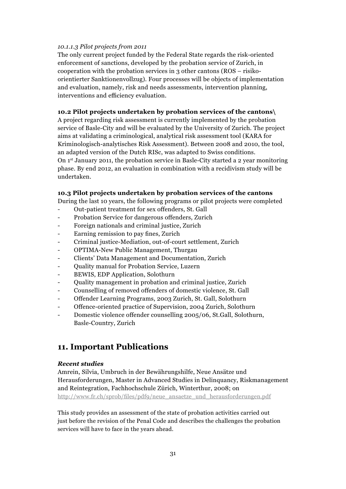#### *10.1.1.3 Pilot projects from 2011*

The only current project funded by the Federal State regards the risk-oriented enforcement of sanctions, developed by the probation service of Zurich, in cooperation with the probation services in 3 other cantons (ROS – risikoorientierter Sanktionenvollzug). Four processes will be objects of implementation and evaluation, namely, risk and needs assessments, intervention planning, interventions and efficiency evaluation.

#### **10.2 Pilot projects undertaken by probation services of the cantons\**

A project regarding risk assessment is currently implemented by the probation service of Basle-City and will be evaluated by the University of Zurich. The project aims at validating a criminological, analytical risk assessment tool (KARA for Kriminologisch-analytisches Risk Assessment). Between 2008 and 2010, the tool, an adapted version of the Dutch RISc, was adapted to Swiss conditions. On  $1<sup>st</sup>$  January 2011, the probation service in Basle-City started a 2 year monitoring phase. By end 2012, an evaluation in combination with a recidivism study will be undertaken.

#### **10.3 Pilot projects undertaken by probation services of the cantons**

During the last 10 years, the following programs or pilot projects were completed

- Out-patient treatment for sex offenders, St. Gall
- Probation Service for dangerous offenders, Zurich
- Foreign nationals and criminal justice, Zurich
- Earning remission to pay fines, Zurich
- Criminal justice-Mediation, out-of-court settlement, Zurich
- OPTIMA-New Public Management, Thurgau
- Clients' Data Management and Documentation, Zurich
- Quality manual for Probation Service, Luzern
- BEWIS, EDP Application, Solothurn
- Quality management in probation and criminal justice, Zurich
- Counselling of removed offenders of domestic violence, St. Gall
- Offender Learning Programs, 2003 Zurich, St. Gall, Solothurn
- Offence-oriented practice of Supervision, 2004 Zurich, Solothurn
- Domestic violence offender counselling 2005/06, St.Gall, Solothurn, Basle-Country, Zurich

## **11. Important Publications**

#### *Recent studies*

Amrein, Silvia, Umbruch in der Bewährungshilfe, Neue Ansätze und Herausforderungen, Master in Advanced Studies in Delinquancy, Riskmanagement and Reintegration, Fachhochschule Zürich, Winterthur, 2008; on http://www.fr.ch/sprob/files/pdf9/neue\_ansaetze\_und\_herausforderungen.pdf

This study provides an assessment of the state of probation activities carried out just before the revision of the Penal Code and describes the challenges the probation services will have to face in the years ahead.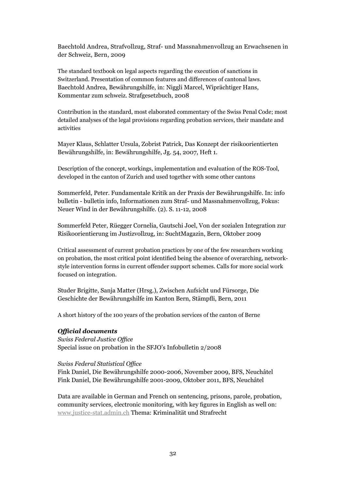Baechtold Andrea, Strafvollzug, Straf- und Massnahmenvollzug an Erwachsenen in der Schweiz, Bern, 2009

The standard textbook on legal aspects regarding the execution of sanctions in Switzerland. Presentation of common features and differences of cantonal laws. Baechtold Andrea, Bewährungshilfe, in: Niggli Marcel, Wiprächtiger Hans, Kommentar zum schweiz. Strafgesetzbuch, 2008

Contribution in the standard, most elaborated commentary of the Swiss Penal Code; most detailed analyses of the legal provisions regarding probation services, their mandate and activities

Mayer Klaus, Schlatter Ursula, Zobrist Patrick, Das Konzept der risikoorientierten Bewährungshilfe, in: Bewährungshilfe, Jg. 54, 2007, Heft 1.

Description of the concept, workings, implementation and evaluation of the ROS-Tool, developed in the canton of Zurich and used together with some other cantons

Sommerfeld, Peter. Fundamentale Kritik an der Praxis der Bewährungshilfe. In: info bulletin - bulletin info, Informationen zum Straf- und Massnahmenvollzug, Fokus: Neuer Wind in der Bewährungshilfe. (2). S. 11-12, 2008

Sommerfeld Peter, Rüegger Cornelia, Gautschi Joel, Von der sozialen Integration zur Risikoorientierung im Justizvollzug, in: SuchtMagazin, Bern, Oktober 2009

Critical assessment of current probation practices by one of the few researchers working on probation, the most critical point identified being the absence of overarching, networkstyle intervention forms in current offender support schemes. Calls for more social work focused on integration.

Studer Brigitte, Sanja Matter (Hrsg.), Zwischen Aufsicht und Fürsorge, Die Geschichte der Bewährungshilfe im Kanton Bern, Stämpfli, Bern, 2011

A short history of the 100 years of the probation services of the canton of Berne

#### *Official documents*

*Swiss Federal Justice Office* Special issue on probation in the SFJO's Infobulletin 2/2008

#### *Swiss Federal Statistical Office*

Fink Daniel, Die Bewährungshilfe 2000-2006, November 2009, BFS, Neuchâtel Fink Daniel, Die Bewährungshilfe 2001-2009, Oktober 2011, BFS, Neuchâtel

Data are available in German and French on sentencing, prisons, parole, probation, community services, electronic monitoring, with key figures in English as well on: www.justice-stat.admin.ch Thema: Kriminalität und Strafrecht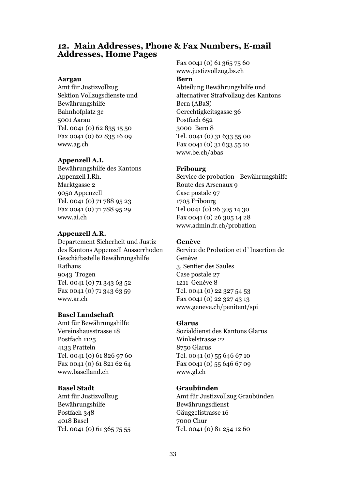### **12. Main Addresses, Phone & Fax Numbers, E-mail Addresses, Home Pages**

#### **Aargau**

Amt für Justizvollzug Sektion Vollzugsdienste und Bewährungshilfe Bahnhofplatz 3c 5001 Aarau Tel. 0041 (0) 62 835 15 50 Fax 0041 (0) 62 835 16 09 www.ag.ch

#### **Appenzell A.I.**

Bewährungshilfe des Kantons Appenzell I.Rh. Marktgasse 2 9050 Appenzell Tel. 0041 (0) 71 788 95 23 Fax 0041 (0) 71 788 95 29 www.ai.ch

#### **Appenzell A.R.**

Departement Sicherheit und Justiz des Kantons Appenzell Ausserrhoden Geschäftsstelle Bewährungshilfe Rathaus 9043 Trogen Tel. 0041 (0) 71 343 63 52 Fax 0041 (0) 71 343 63 59 www.ar.ch

#### **Basel Landschaft**

Amt für Bewährungshilfe Vereinshausstrasse 18 Postfach 1125 4133 Pratteln Tel. 0041 (0) 61 826 97 60 Fax 0041 (0) 61 821 62 64 www.baselland.ch

#### **Basel Stadt**

Amt für Justizvollzug Bewährungshilfe Postfach 348 4018 Basel Tel. 0041 (0) 61 365 75 55 Fax 0041 (0) 61 365 75 60 www.justizvollzug.bs.ch

#### **Bern**

Abteilung Bewährungshilfe und alternativer Strafvollzug des Kantons Bern (ABaS) Gerechtigkeitsgasse 36 Postfach 652 3000 Bern 8 Tel. 0041 (0) 31 633 55 00 Fax 0041 (0) 31 633 55 10 www.be.ch/abas

#### **Fribourg**

Service de probation - Bewährungshilfe Route des Arsenaux 9 Case postale 97 1705 Fribourg Tel 0041 (0) 26 305 14 30 Fax 0041 (0) 26 305 14 28 www.admin.fr.ch/probation

#### **Genève**

Service de Probation et d`Insertion de Genève 3, Sentier des Saules Case postale 27 1211 Genève 8 Tel. 0041 (0) 22 327 54 53 Fax 0041 (0) 22 327 43 13 www.geneve.ch/penitent/spi

#### **Glarus**

Sozialdienst des Kantons Glarus Winkelstrasse 22 8750 Glarus Tel. 0041 (0) 55 646 67 10 Fax 0041 (0) 55 646 67 09 www.gl.ch

#### **Graubünden**

Amt für Justizvollzug Graubünden Bewährungsdienst Gäuggelistrasse 16 7000 Chur Tel. 0041 (0) 81 254 12 60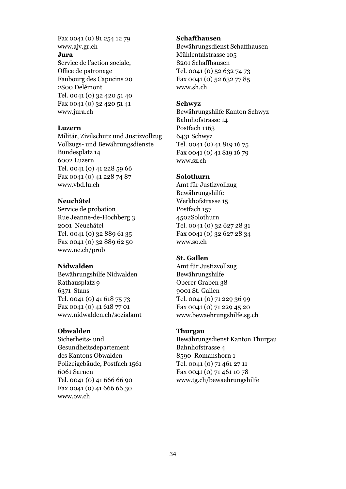Fax 0041 (0) 81 254 12 79 www.ajv.gr.ch

#### **Jura**

Service de l'action sociale, Office de patronage Faubourg des Capucins 20 2800 Delémont Tel. 0041 (0) 32 420 51 40 Fax 0041 (0) 32 420 51 41 www.jura.ch

#### **Luzern**

Militär, Zivilschutz und Justizvollzug Vollzugs- und Bewährungsdienste Bundesplatz 14 6002 Luzern Tel. 0041 (0) 41 228 59 66 Fax 0041 (0) 41 228 74 87 www.vbd.lu.ch

#### **Neuchâtel**

Service de probation Rue Jeanne-de-Hochberg 3 2001 Neuchâtel Tel. 0041 (0) 32 889 61 35 Fax 0041 (0) 32 889 62 50 www.ne.ch/prob

#### **Nidwalden**

Bewährungshilfe Nidwalden Rathausplatz 9 6371 Stans Tel. 0041 (0) 41 618 75 73 Fax 0041 (0) 41 618 77 01 www.nidwalden.ch/sozialamt

#### **Obwalden**

Sicherheits- und Gesundheitsdepartement des Kantons Obwalden Polizeigebäude, Postfach 1561 6061 Sarnen Tel. 0041 (0) 41 666 66 90 Fax 0041 (0) 41 666 66 30 www.ow.ch

#### **Schaffhausen**

Bewährungsdienst Schaffhausen Mühlentalstrasse 105 8201 Schaffhausen Tel. 0041 (0) 52 632 74 73 Fax 0041 (0) 52 632 77 85 www.sh.ch

#### **Schwyz**

Bewährungshilfe Kanton Schwyz Bahnhofstrasse 14 Postfach 1163 6431 Schwyz Tel. 0041 (0) 41 819 16 75 Fax 0041 (0) 41 819 16 79 www.sz.ch

#### **Solothurn**

Amt für Justizvollzug Bewährungshilfe Werkhofstrasse 15 Postfach 157 4502Solothurn Tel. 0041 (0) 32 627 28 31 Fax 0041 (0) 32 627 28 34 www.so.ch

#### **St. Gallen**

Amt für Justizvollzug Bewährungshilfe Oberer Graben 38 9001 St. Gallen Tel. 0041 (0) 71 229 36 99 Fax 0041 (0) 71 229 45 20 www.bewaehrungshilfe.sg.ch

#### **Thurgau**

Bewährungsdienst Kanton Thurgau Bahnhofstrasse 4 8590 Romanshorn 1 Tel. 0041 (0) 71 461 27 11 Fax 0041 (0) 71 461 10 78 www.tg.ch/bewaehrungshilfe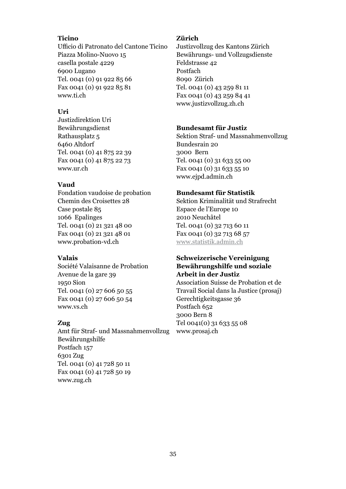#### **Ticino**

Ufficio di Patronato del Cantone Ticino Piazza Molino-Nuovo 15 casella postale 4229 6900 Lugano Tel. 0041 (0) 91 922 85 66 Fax 0041 (0) 91 922 85 81 www.ti.ch

#### **Uri**

Justizdirektion Uri Bewährungsdienst Rathausplatz 5 6460 Altdorf Tel. 0041 (0) 41 875 22 39 Fax 0041 (0) 41 875 22 73 www.ur.ch

#### **Vaud**

Fondation vaudoise de probation Chemin des Croisettes 28 Case postale 85 1066 Epalinges Tel. 0041 (0) 21 321 48 00 Fax 0041 (0) 21 321 48 01 www.probation-vd.ch

#### **Valais**

Société Valaisanne de Probation Avenue de la gare 39 1950 Sion Tel. 0041 (0) 27 606 50 55 Fax 0041 (0) 27 606 50 54 www.vs.ch

#### **Zug**

Amt für Straf- und Massnahmenvollzug Bewährungshilfe Postfach 157 6301 Zug Tel. 0041 (0) 41 728 50 11 Fax 0041 (0) 41 728 50 19 www.zug.ch

#### **Zürich**

Justizvollzug des Kantons Zürich Bewährungs- und Vollzugsdienste Feldstrasse 42 Postfach 8090 Zürich Tel. 0041 (0) 43 259 81 11 Fax 0041 (0) 43 259 84 41 www.justizvollzug.zh.ch

#### **Bundesamt für Justiz**

Sektion Straf- und Massnahmenvollzug Bundesrain 20 3000 Bern Tel. 0041 (0) 31 633 55 00 Fax 0041 (0) 31 633 55 10 www.ejpd.admin.ch

#### **Bundesamt für Statistik**

Sektion Kriminalität und Strafrecht Espace de l'Europe 10 2010 Neuchâtel Tel. 0041 (0) 32 713 60 11 Fax 0041 (0) 32 713 68 57 www.statistik.admin.ch

#### **Schweizerische Vereinigung Bewährungshilfe und soziale Arbeit in der Justiz**

Association Suisse de Probation et de Travail Social dans la Justice (prosaj) Gerechtigkeitsgasse 36 Postfach 652 3000 Bern 8 Tel 0041(0) 31 633 55 08 www.prosaj.ch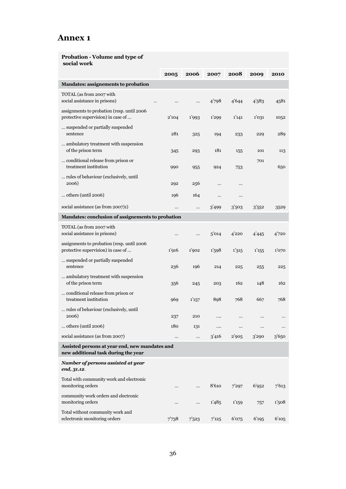## **Annex 1**

#### **Probation - Volume and type of social work**

|                                                                                       | 2005  | 2006     | 2007  | 2008  | 2009  | 2010  |
|---------------------------------------------------------------------------------------|-------|----------|-------|-------|-------|-------|
| Mandates: assignements to probation                                                   |       |          |       |       |       |       |
| TOTAL (as from 2007 with<br>social assistance in prisons)<br>                         |       |          | 4'798 | 4'644 | 4'583 | 4581  |
| assignments to probation (resp. until 2006<br>protective supervision) in case of      | 2'104 | 1'993    | 1'299 | 1'141 | 1'031 | 1052  |
| suspended or partially suspended<br>sentence                                          | 281   | 325      | 194   | 233   | 229   | 289   |
| ambulatory treatment with suspension<br>of the prison term                            | 345   | 293      | 181   | 155   | 101   | 113   |
| conditional release from prison or<br>treatment institution                           | 990   | 955      | 924   | 753   | 701   | 650   |
| rules of behaviour (exclusively, until<br>2006)                                       | 292   | 256      |       |       |       |       |
| others (until 2006)                                                                   | 196   | 164      |       |       |       |       |
| social assistance (as from 2007)1)                                                    |       |          | 3'499 | 3'503 | 3'552 | 3529  |
| Mandates: conclusion of assignements to probation                                     |       |          |       |       |       |       |
| TOTAL (as from 2007 with<br>social assistance in prisons)                             |       | $\cdots$ | 5'014 | 4'220 | 4'445 | 4'720 |
| assignments to probation (resp. until 2006)<br>protective supervision) in case of     | 1'916 | 1'902    | 1'598 | 1'315 | 1'155 | 1'070 |
| suspended or partially suspended<br>sentence                                          | 236   | 196      | 214   | 225   | 255   | 225   |
| ambulatory treatment with suspension<br>of the prison term                            | 356   | 245      | 203   | 162   | 148   | 162   |
| conditional release from prison or<br>treatment institution                           | 969   | 1'157    | 898   | 768   | 667   | 768   |
| rules of behaviour (exclusively, until<br>2006)                                       | 237   | 210      |       |       |       |       |
| others (until 2006)                                                                   | 180   | 131      |       |       |       |       |
| social assistance (as from 2007)                                                      |       |          | 3'416 | 2'905 | 3'290 | 3'650 |
| Assisted persons at year end, new mandates and<br>new additional task during the year |       |          |       |       |       |       |
| Number of persons assisted at year<br>end, 31.12.                                     |       |          |       |       |       |       |
| Total with community work and electronic<br>monitoring orders                         |       |          | 8'610 | 7'297 | 6'952 | 7'613 |
| community work orders and electronic<br>monitoring orders                             |       |          | 1'485 | 1'159 | 757   | 1,508 |
| Total without community work and<br>eclectronic monitoring orders                     | 7'738 | 7'523    | 7'125 | 6'075 | 6'195 | 6'105 |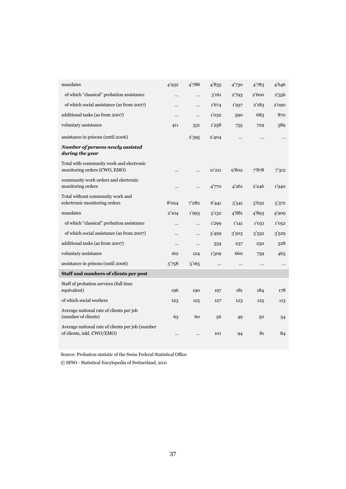| mandates                                                                       | 4'932     | 4'788    | 4'835  | 4'730    | 4'783 | 4'646    |
|--------------------------------------------------------------------------------|-----------|----------|--------|----------|-------|----------|
| of which "classical" probation assistance                                      |           |          | 3'161  | 2'793    | 2'600 | 2'556    |
| of which social assistance (as from 2007)                                      |           |          | 1'674  | 1'937    | 2'183 | 2'090    |
| additional tasks (as from 2007)                                                |           |          | 1'032  | 590      | 683   | 870      |
| voluntary assistance                                                           | 411       | 331      | 1'258  | 755      | 729   | 589      |
| assistance in prisons (until 2006)                                             |           | 2'395    | 2'404  |          |       |          |
| Number of persons newly assisted<br>during the year                            |           |          |        |          |       |          |
| Total with community work and electronic<br>monitoring orders (CWO, EMO)       |           |          | 11'211 | 9'802    | 7878  | 7'312    |
| community work orders and electronic<br>monitoring orders                      |           |          | 4'770  | 4'261    | 2'246 | 1'940    |
| Total without community work and<br>eclectronic monitoring orders              | 8'024     | 7282     | 6'441  | 5'541    | 5'632 | 5'372    |
| mandates                                                                       | 2'104     | 1'993    | 5'132  | 4'881    | 4'893 | 4'909    |
| of which "classical" probation assistance                                      |           | $\cdots$ | 1'299  | 1'141    | 1'031 | 1'052    |
| of which social assistance (as from 2007)                                      |           |          | 3'499  | 3'503    | 3'552 | 3'529    |
| additional tasks (as from 2007)                                                |           |          | 334    | 237      | 250   | 328      |
| voluntary assistance                                                           | 162       | 124      | 1'309  | 660      | 739   | 463      |
| assistance in prisons (until 2006)                                             | 5'758     | 5'165    |        | $\ldots$ |       | $\cdots$ |
| Staff und numbers of clients per post                                          |           |          |        |          |       |          |
| Staff of probation services (full time<br>equivalent)                          | 196       | 190      | 197    | 181      | 184   | 178      |
| of which social workers                                                        | 123       | 125      | 127    | 123      | 125   | 113      |
| Average national rate of clients per job<br>(number of clients)                | 63        | 60       | 56     | 49       | 50    | 54       |
| Average national rate of clients per job (number<br>of clients, inkl. CWO/EMO) | $\ddotsc$ |          | 101    | 94       | 81    | 84       |

Source: Probation statistic of the Swiss Federal Statistical Office

© SFSO - Statistical Encylopedia of Switzerland, 2011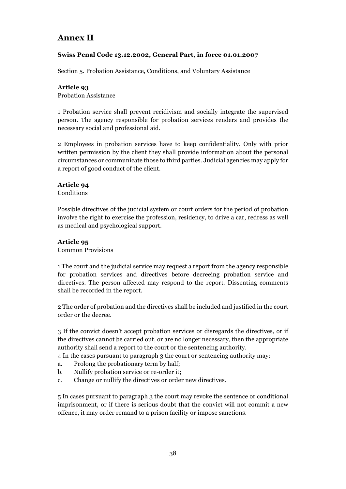## **Annex II**

#### **Swiss Penal Code 13.12.2002, General Part, in force 01.01.2007**

Section 5. Probation Assistance, Conditions, and Voluntary Assistance

#### **Article 93**

Probation Assistance

1 Probation service shall prevent recidivism and socially integrate the supervised person. The agency responsible for probation services renders and provides the necessary social and professional aid.

2 Employees in probation services have to keep confidentiality. Only with prior written permission by the client they shall provide information about the personal circumstances or communicate those to third parties. Judicial agencies may apply for a report of good conduct of the client.

#### **Article 94**

**Conditions** 

Possible directives of the judicial system or court orders for the period of probation involve the right to exercise the profession, residency, to drive a car, redress as well as medical and psychological support.

#### **Article 95**

Common Provisions

1 The court and the judicial service may request a report from the agency responsible for probation services and directives before decreeing probation service and directives. The person affected may respond to the report. Dissenting comments shall be recorded in the report.

2 The order of probation and the directives shall be included and justified in the court order or the decree.

3 If the convict doesn't accept probation services or disregards the directives, or if the directives cannot be carried out, or are no longer necessary, then the appropriate authority shall send a report to the court or the sentencing authority.

- 4 In the cases pursuant to paragraph 3 the court or sentencing authority may:
- a. Prolong the probationary term by half;
- b. Nullify probation service or re-order it;
- c. Change or nullify the directives or order new directives.

5 In cases pursuant to paragraph 3 the court may revoke the sentence or conditional imprisonment, or if there is serious doubt that the convict will not commit a new offence, it may order remand to a prison facility or impose sanctions.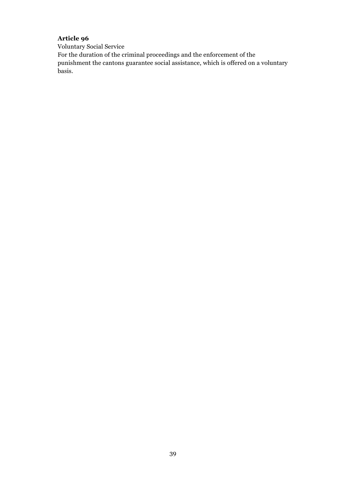## **Article 96**

Voluntary Social Service

For the duration of the criminal proceedings and the enforcement of the punishment the cantons guarantee social assistance, which is offered on a voluntary basis.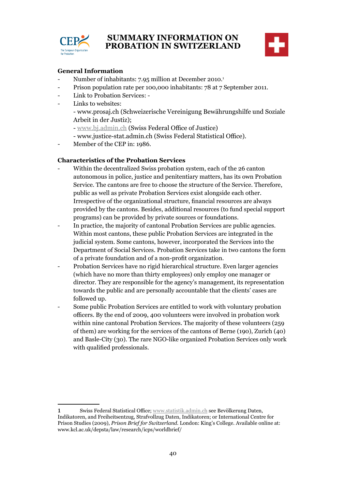

## **SUMMARY INFORMATION ON PROBATION IN SWITZERLAND**



#### **General Information**

- Number of inhabitants: 7.95 million at December 2010.<sup>1</sup>
- Prison population rate per 100,000 inhabitants: 78 at 7 September 2011.
- Link to Probation Services: -
- Links to websites:
	- www.prosaj.ch (Schweizerische Vereinigung Bewährungshilfe und Soziale Arbeit in der Justiz);
	- www.bj.admin.ch (Swiss Federal Office of Justice)
	- www.justice-stat.admin.ch (Swiss Federal Statistical Office).
- Member of the CEP in: 1986.

#### **Characteristics of the Probation Services**

- Within the decentralized Swiss probation system, each of the 26 canton autonomous in police, justice and penitentiary matters, has its own Probation Service. The cantons are free to choose the structure of the Service. Therefore, public as well as private Probation Services exist alongside each other. Irrespective of the organizational structure, financial resources are always provided by the cantons. Besides, additional resources (to fund special support programs) can be provided by private sources or foundations.
- In practice, the majority of cantonal Probation Services are public agencies. Within most cantons, these public Probation Services are integrated in the judicial system. Some cantons, however, incorporated the Services into the Department of Social Services. Probation Services take in two cantons the form of a private foundation and of a non-profit organization.
- Probation Services have no rigid hierarchical structure. Even larger agencies (which have no more than thirty employees) only employ one manager or director. They are responsible for the agency's management, its representation towards the public and are personally accountable that the clients' cases are followed up.
- Some public Probation Services are entitled to work with voluntary probation officers. By the end of 2009, 400 volunteers were involved in probation work within nine cantonal Probation Services. The majority of these volunteers (259 of them) are working for the services of the cantons of Berne (190), Zurich (40) and Basle-City (30). The rare NGO-like organized Probation Services only work with qualified professionals.

<sup>1</sup> Swiss Federal Statistical Office; www.statistik.admin.ch see Bevölkerung Daten, Indikatoren, and Freiheitsentzug, Strafvollzug Daten, Indikatoren; or International Centre for Prison Studies (2009), *Prison Brief for Switzerland.* London: King's College. Available online at: www.kcl.ac.uk/depsta/law/research/icps/worldbrief/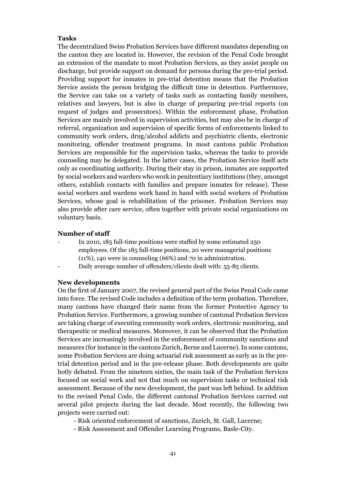#### **Tasks**

The decentralized Swiss Probation Services have different mandates depending on the canton they are located in. However, the revision of the Penal Code brought an extension of the mandate to most Probation Services, as they assist people on discharge, but provide support on demand for persons during the pre-trial period. Providing support for inmates in pre-trial detention means that the Probation Service assists the person bridging the difficult time in detention. Furthermore, the Service can take on a variety of tasks such as contacting family members, relatives and lawyers, but is also in charge of preparing pre-trial reports (on request of judges and prosecutors). Within the enforcement phase, Probation Services are mainly involved in supervision activities, but may also be in charge of referral, organization and supervision of specific forms of enforcements linked to community work orders, drug/alcohol addicts and psychiatric clients, electronic monitoring, offender treatment programs. In most cantons public Probation Services are responsible for the supervision tasks, whereas the tasks to provide counseling may be delegated. In the latter cases, the Probation Service itself acts only as coordinating authority. During their stay in prison, inmates are supported by social workers and warders who work in penitentiary institutions (they, amongst others, establish contacts with families and prepare inmates for release). These social workers and wardens work hand in hand with social workers of Probation Services, whose goal is rehabilitation of the prisoner. Probation Services may also provide after care service, often together with private social organizations on voluntary basis.

#### **Number of staff**

- In 2010, 185 full-time positions were staffed by some estimated 250 employees. Of the 185 full-time positions, 20 were managerial positions (11%), 140 were in counseling (66%) and 70 in administration.
- Daily average number of offenders/clients dealt with: 55-85 clients.

#### **New developments**

On the first of January 2007, the revised general part of the Swiss Penal Code came into force. The revised Code includes a definition of the term probation. Therefore, many cantons have changed their name from the former Protective Agency to Probation Service. Furthermore, a growing number of cantonal Probation Services are taking charge of executing community work orders, electronic monitoring, and therapeutic or medical measures. Moreover, it can be observed that the Probation Services are increasingly involved in the enforcement of community sanctions and measures (for instance in the cantons Zurich, Berne and Lucerne). In some cantons, some Probation Services are doing actuarial risk assessment as early as in the pretrial detention period and in the pre-release phase. Both developments are quite hotly debated. From the nineteen sixties, the main task of the Probation Services focused on social work and not that much on supervision tasks or technical risk assessment. Because of the new development, the past was left behind. In addition to the revised Penal Code, the different cantonal Probation Services carried out several pilot projects during the last decade. Most recently, the following two projects were carried out:

- Risk oriented enforcement of sanctions, Zurich, St. Gall, Lucerne;
- Risk Assessment and Offender Learning Programs, Basle-City.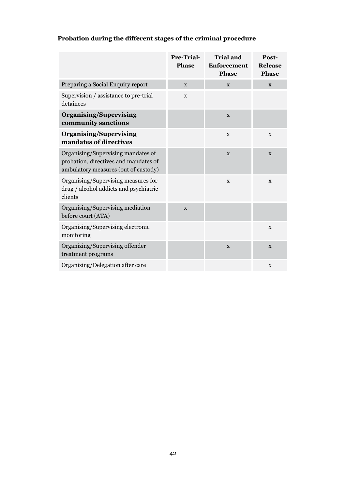|                                                                                                                     | Pre-Trial-<br><b>Phase</b> | <b>Trial and</b><br><b>Enforcement</b><br><b>Phase</b> | Post-<br><b>Release</b><br><b>Phase</b> |
|---------------------------------------------------------------------------------------------------------------------|----------------------------|--------------------------------------------------------|-----------------------------------------|
| Preparing a Social Enquiry report                                                                                   | X                          | X                                                      | $\mathbf X$                             |
| Supervision / assistance to pre-trial<br>detainees                                                                  | X                          |                                                        |                                         |
| <b>Organising/Supervising</b><br>community sanctions                                                                |                            | $\mathbf X$                                            |                                         |
| <b>Organising/Supervising</b><br>mandates of directives                                                             |                            | $\mathbf X$                                            | $\mathbf X$                             |
| Organising/Supervising mandates of<br>probation, directives and mandates of<br>ambulatory measures (out of custody) |                            | X                                                      | X                                       |
| Organising/Supervising measures for<br>drug / alcohol addicts and psychiatric<br>clients                            |                            | $\mathbf X$                                            | $\mathbf X$                             |
| Organising/Supervising mediation<br>before court (ATA)                                                              | $\mathbf{x}$               |                                                        |                                         |
| Organising/Supervising electronic<br>monitoring                                                                     |                            |                                                        | $\mathbf X$                             |
| Organizing/Supervising offender<br>treatment programs                                                               |                            | X                                                      | X                                       |
| Organizing/Delegation after care                                                                                    |                            |                                                        | $\mathbf X$                             |

## **Probation during the different stages of the criminal procedure**